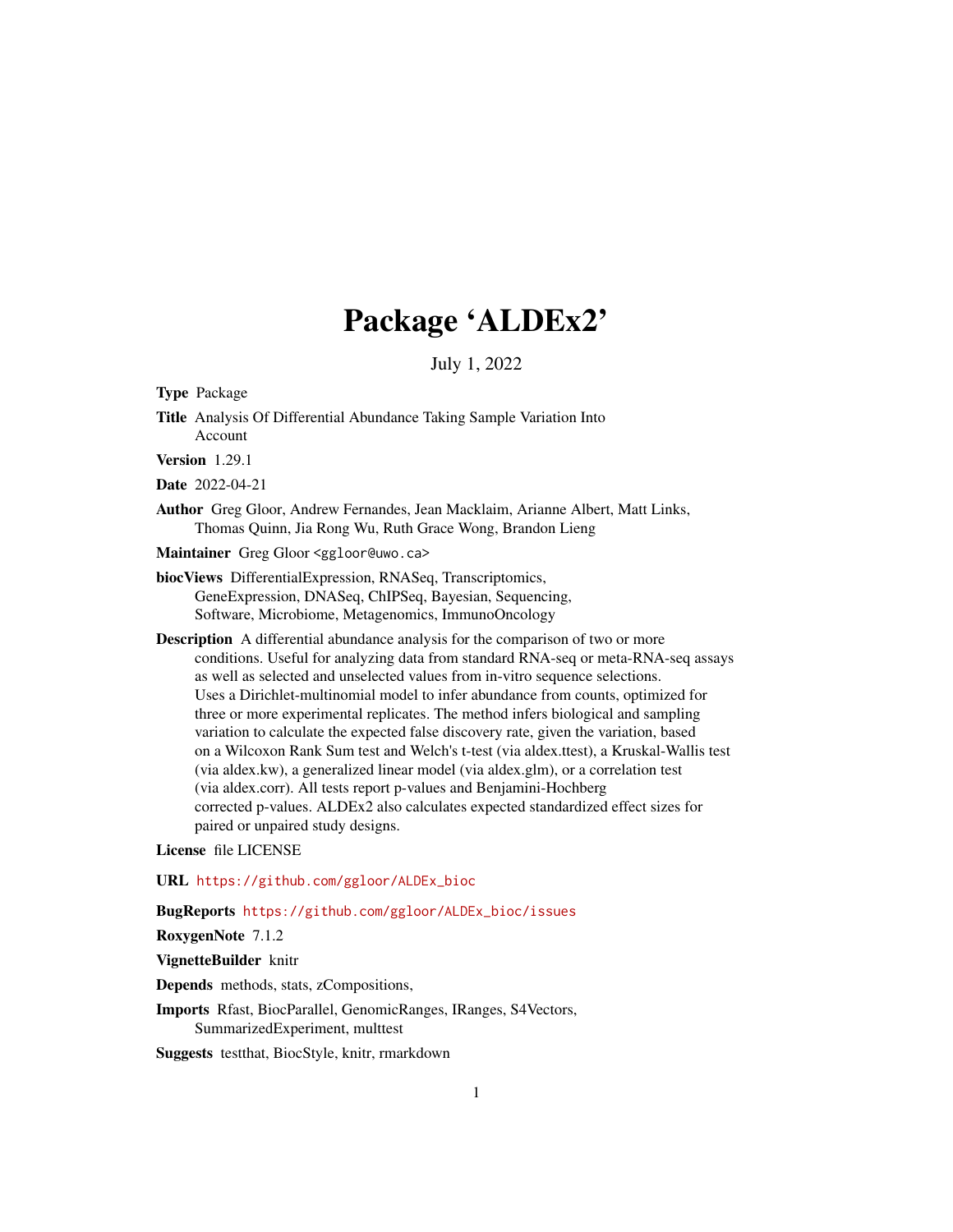# Package 'ALDEx2'

July 1, 2022

Type Package

Title Analysis Of Differential Abundance Taking Sample Variation Into Account

Version 1.29.1

Date 2022-04-21

Author Greg Gloor, Andrew Fernandes, Jean Macklaim, Arianne Albert, Matt Links, Thomas Quinn, Jia Rong Wu, Ruth Grace Wong, Brandon Lieng

Maintainer Greg Gloor <ggloor@uwo.ca>

biocViews DifferentialExpression, RNASeq, Transcriptomics, GeneExpression, DNASeq, ChIPSeq, Bayesian, Sequencing, Software, Microbiome, Metagenomics, ImmunoOncology

Description A differential abundance analysis for the comparison of two or more conditions. Useful for analyzing data from standard RNA-seq or meta-RNA-seq assays as well as selected and unselected values from in-vitro sequence selections. Uses a Dirichlet-multinomial model to infer abundance from counts, optimized for three or more experimental replicates. The method infers biological and sampling variation to calculate the expected false discovery rate, given the variation, based on a Wilcoxon Rank Sum test and Welch's t-test (via aldex.ttest), a Kruskal-Wallis test (via aldex.kw), a generalized linear model (via aldex.glm), or a correlation test (via aldex.corr). All tests report p-values and Benjamini-Hochberg corrected p-values. ALDEx2 also calculates expected standardized effect sizes for paired or unpaired study designs.

License file LICENSE

URL [https://github.com/ggloor/ALDEx\\_bioc](https://github.com/ggloor/ALDEx_bioc)

BugReports [https://github.com/ggloor/ALDEx\\_bioc/issues](https://github.com/ggloor/ALDEx_bioc/issues)

RoxygenNote 7.1.2

VignetteBuilder knitr

Depends methods, stats, zCompositions,

Imports Rfast, BiocParallel, GenomicRanges, IRanges, S4Vectors, SummarizedExperiment, multtest

Suggests testthat, BiocStyle, knitr, rmarkdown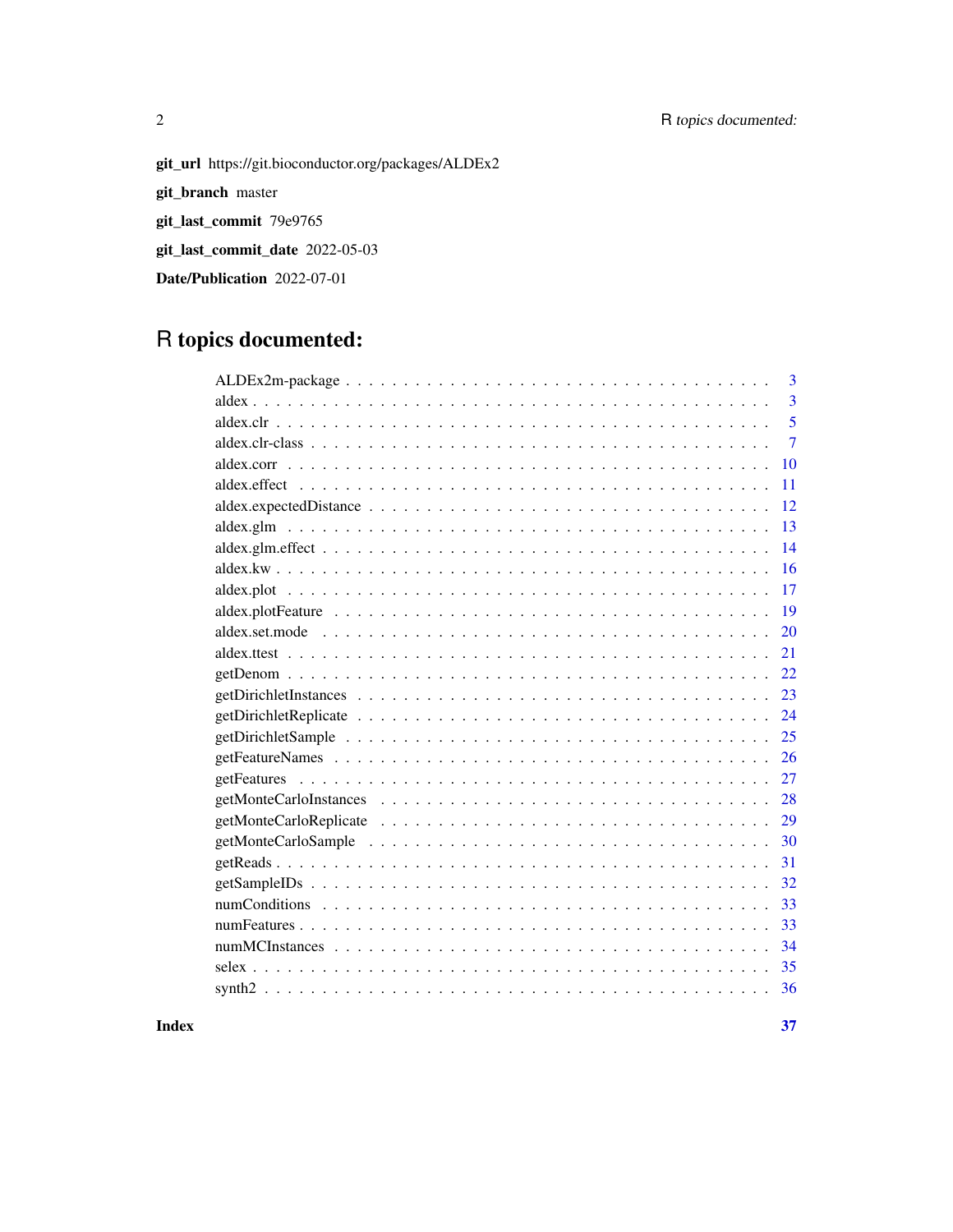## 2 R topics documented:

git\_url https://git.bioconductor.org/packages/ALDEx2 git\_branch master git\_last\_commit 79e9765

git\_last\_commit\_date 2022-05-03

Date/Publication 2022-07-01

## R topics documented:

| 3                                                                                                               |
|-----------------------------------------------------------------------------------------------------------------|
| 3                                                                                                               |
| 5                                                                                                               |
| $\overline{7}$                                                                                                  |
| 10                                                                                                              |
| 11                                                                                                              |
| 12                                                                                                              |
| 13                                                                                                              |
| 14                                                                                                              |
| 16                                                                                                              |
| 17                                                                                                              |
| 19                                                                                                              |
| 20                                                                                                              |
| 21                                                                                                              |
| 22                                                                                                              |
| 23                                                                                                              |
| 24                                                                                                              |
| 25                                                                                                              |
| 26                                                                                                              |
| 27                                                                                                              |
| 28                                                                                                              |
| 29                                                                                                              |
| 30                                                                                                              |
| 31                                                                                                              |
| 32<br>$getSampleIDs \ldots \ldots \ldots \ldots \ldots \ldots \ldots \ldots \ldots \ldots \ldots \ldots \ldots$ |
| 33                                                                                                              |
| 33                                                                                                              |
| 34                                                                                                              |
| 35                                                                                                              |
| 36                                                                                                              |
|                                                                                                                 |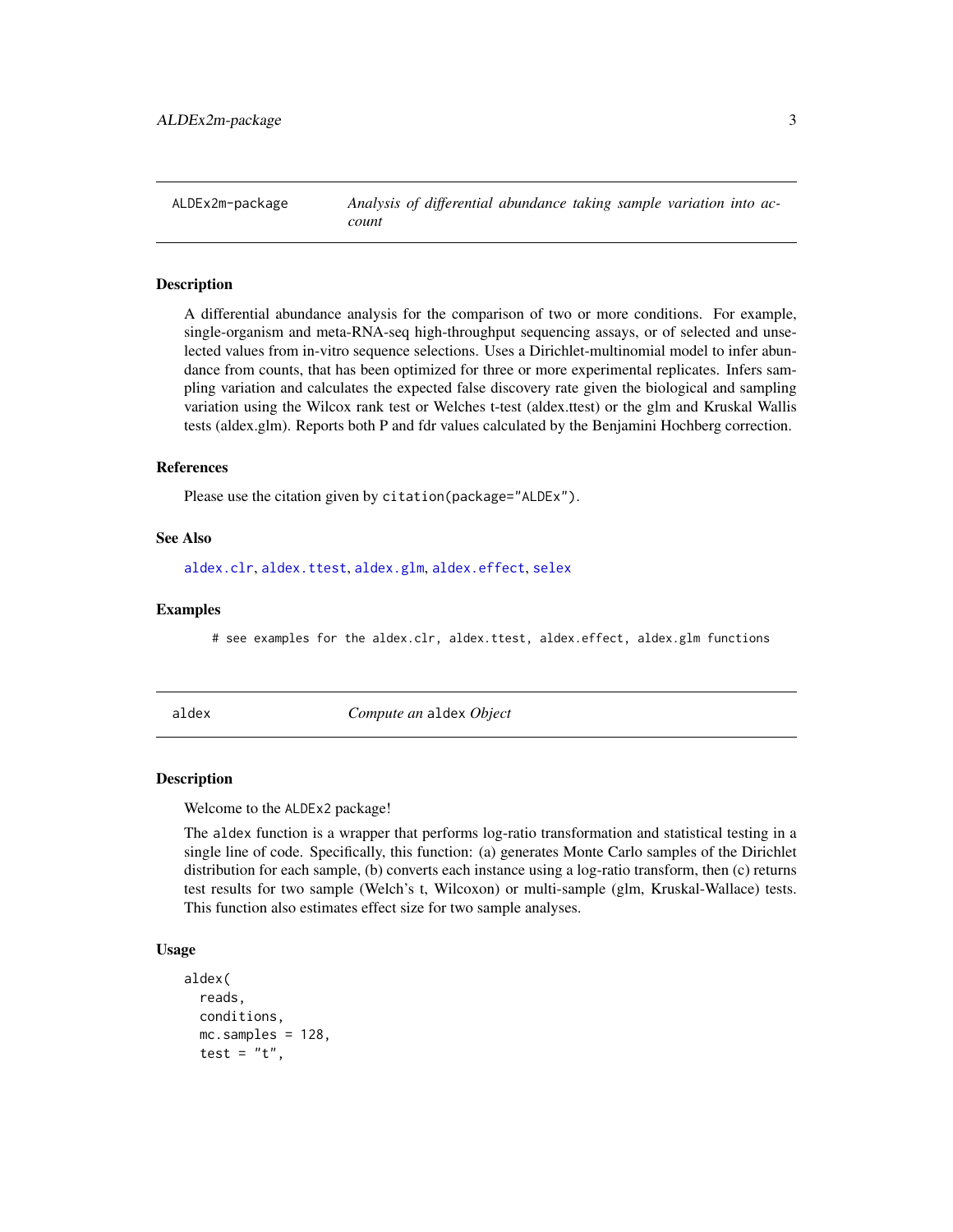<span id="page-2-0"></span>ALDEx2m-package *Analysis of differential abundance taking sample variation into account*

#### Description

A differential abundance analysis for the comparison of two or more conditions. For example, single-organism and meta-RNA-seq high-throughput sequencing assays, or of selected and unselected values from in-vitro sequence selections. Uses a Dirichlet-multinomial model to infer abundance from counts, that has been optimized for three or more experimental replicates. Infers sampling variation and calculates the expected false discovery rate given the biological and sampling variation using the Wilcox rank test or Welches t-test (aldex.ttest) or the glm and Kruskal Wallis tests (aldex.glm). Reports both P and fdr values calculated by the Benjamini Hochberg correction.

#### References

Please use the citation given by citation(package="ALDEx").

## See Also

[aldex.clr](#page-4-1), [aldex.ttest](#page-20-1), [aldex.glm](#page-12-1), [aldex.effect](#page-10-1), [selex](#page-34-1)

#### Examples

# see examples for the aldex.clr, aldex.ttest, aldex.effect, aldex.glm functions

<span id="page-2-1"></span>

aldex *Compute an* aldex *Object*

#### Description

Welcome to the ALDEx2 package!

The aldex function is a wrapper that performs log-ratio transformation and statistical testing in a single line of code. Specifically, this function: (a) generates Monte Carlo samples of the Dirichlet distribution for each sample, (b) converts each instance using a log-ratio transform, then (c) returns test results for two sample (Welch's t, Wilcoxon) or multi-sample (glm, Kruskal-Wallace) tests. This function also estimates effect size for two sample analyses.

#### Usage

```
aldex(
  reads,
  conditions,
  mc.samples = 128,
  test = "t",
```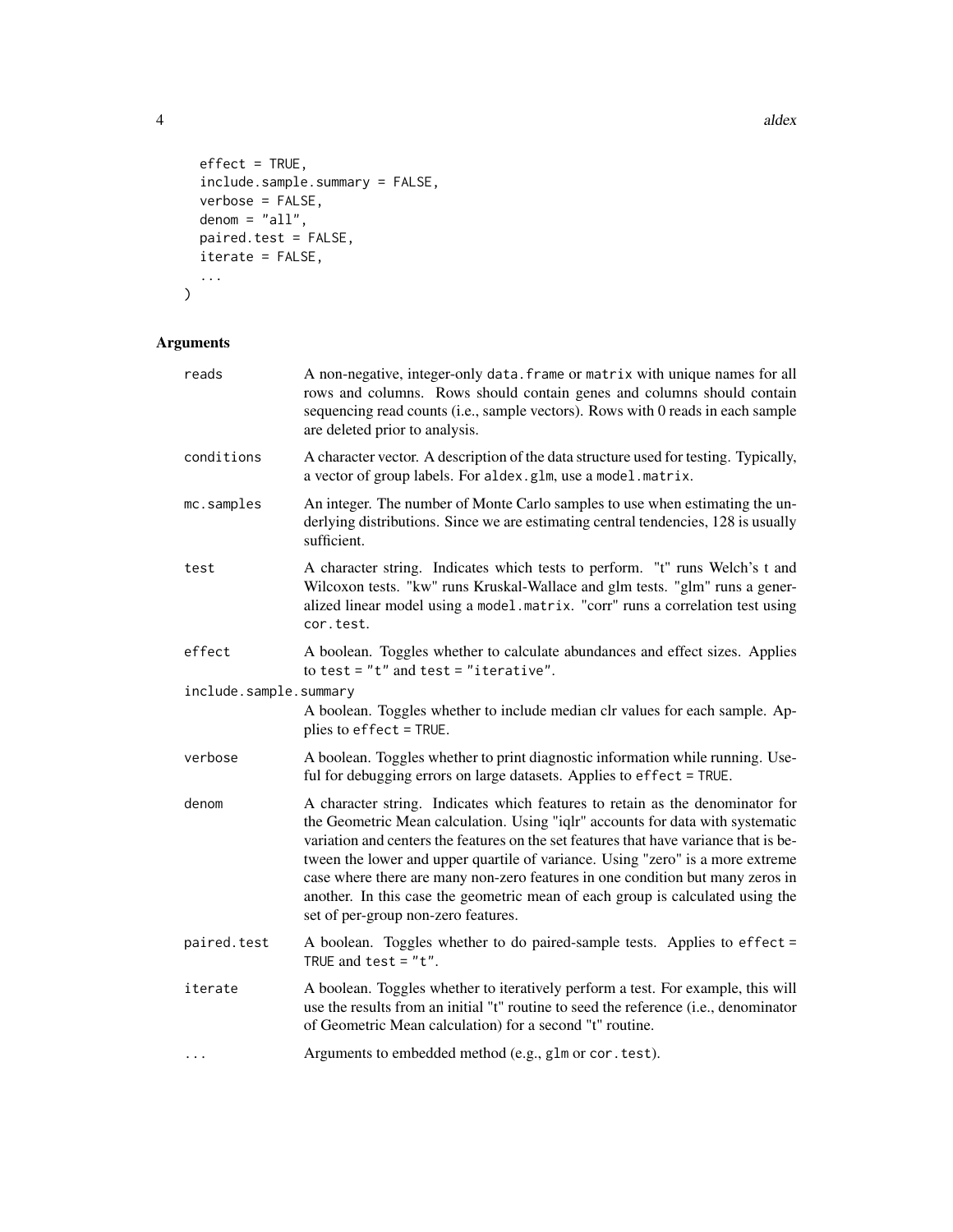4 and 2 and 2 and 2 and 2 and 2 and 2 and 2 and 2 and 2 and 2 and 2 and 2 and 2 and 2 and 2 and 2 and 2 and 2 and 2 and 2 and 2 and 2 and 2 and 2 and 2 and 2 and 2 and 2 and 2 and 2 and 2 and 2 and 2 and 2 and 2 and 2 and

```
effect = TRUE,include.sample.summary = FALSE,
 verbose = FALSE,
  denom = "all",paired.test = FALSE,
 iterate = FALSE,
 ...
)
```
## Arguments

| reads                  | A non-negative, integer-only data. frame or matrix with unique names for all<br>rows and columns. Rows should contain genes and columns should contain<br>sequencing read counts (i.e., sample vectors). Rows with 0 reads in each sample<br>are deleted prior to analysis.                                                                                                                                                                                                                                                                           |
|------------------------|-------------------------------------------------------------------------------------------------------------------------------------------------------------------------------------------------------------------------------------------------------------------------------------------------------------------------------------------------------------------------------------------------------------------------------------------------------------------------------------------------------------------------------------------------------|
| conditions             | A character vector. A description of the data structure used for testing. Typically,<br>a vector of group labels. For aldex.glm, use a model.matrix.                                                                                                                                                                                                                                                                                                                                                                                                  |
| mc.samples             | An integer. The number of Monte Carlo samples to use when estimating the un-<br>derlying distributions. Since we are estimating central tendencies, 128 is usually<br>sufficient.                                                                                                                                                                                                                                                                                                                                                                     |
| test                   | A character string. Indicates which tests to perform. "t" runs Welch's t and<br>Wilcoxon tests. "kw" runs Kruskal-Wallace and glm tests. "glm" runs a gener-<br>alized linear model using a model.matrix. "corr" runs a correlation test using<br>cor.test.                                                                                                                                                                                                                                                                                           |
| effect                 | A boolean. Toggles whether to calculate abundances and effect sizes. Applies<br>to test = $"t"$ and test = "iterative".                                                                                                                                                                                                                                                                                                                                                                                                                               |
| include.sample.summary |                                                                                                                                                                                                                                                                                                                                                                                                                                                                                                                                                       |
|                        | A boolean. Toggles whether to include median clr values for each sample. Ap-<br>plies to effect = TRUE.                                                                                                                                                                                                                                                                                                                                                                                                                                               |
| verbose                | A boolean. Toggles whether to print diagnostic information while running. Use-<br>ful for debugging errors on large datasets. Applies to effect = TRUE.                                                                                                                                                                                                                                                                                                                                                                                               |
| denom                  | A character string. Indicates which features to retain as the denominator for<br>the Geometric Mean calculation. Using "iqlr" accounts for data with systematic<br>variation and centers the features on the set features that have variance that is be-<br>tween the lower and upper quartile of variance. Using "zero" is a more extreme<br>case where there are many non-zero features in one condition but many zeros in<br>another. In this case the geometric mean of each group is calculated using the<br>set of per-group non-zero features. |
| paired.test            | A boolean. Toggles whether to do paired-sample tests. Applies to effect =<br>TRUE and test = $"t".$                                                                                                                                                                                                                                                                                                                                                                                                                                                   |
| iterate                | A boolean. Toggles whether to iteratively perform a test. For example, this will<br>use the results from an initial "t" routine to seed the reference (i.e., denominator<br>of Geometric Mean calculation) for a second "t" routine.                                                                                                                                                                                                                                                                                                                  |
| .                      | Arguments to embedded method (e.g., glm or cor. test).                                                                                                                                                                                                                                                                                                                                                                                                                                                                                                |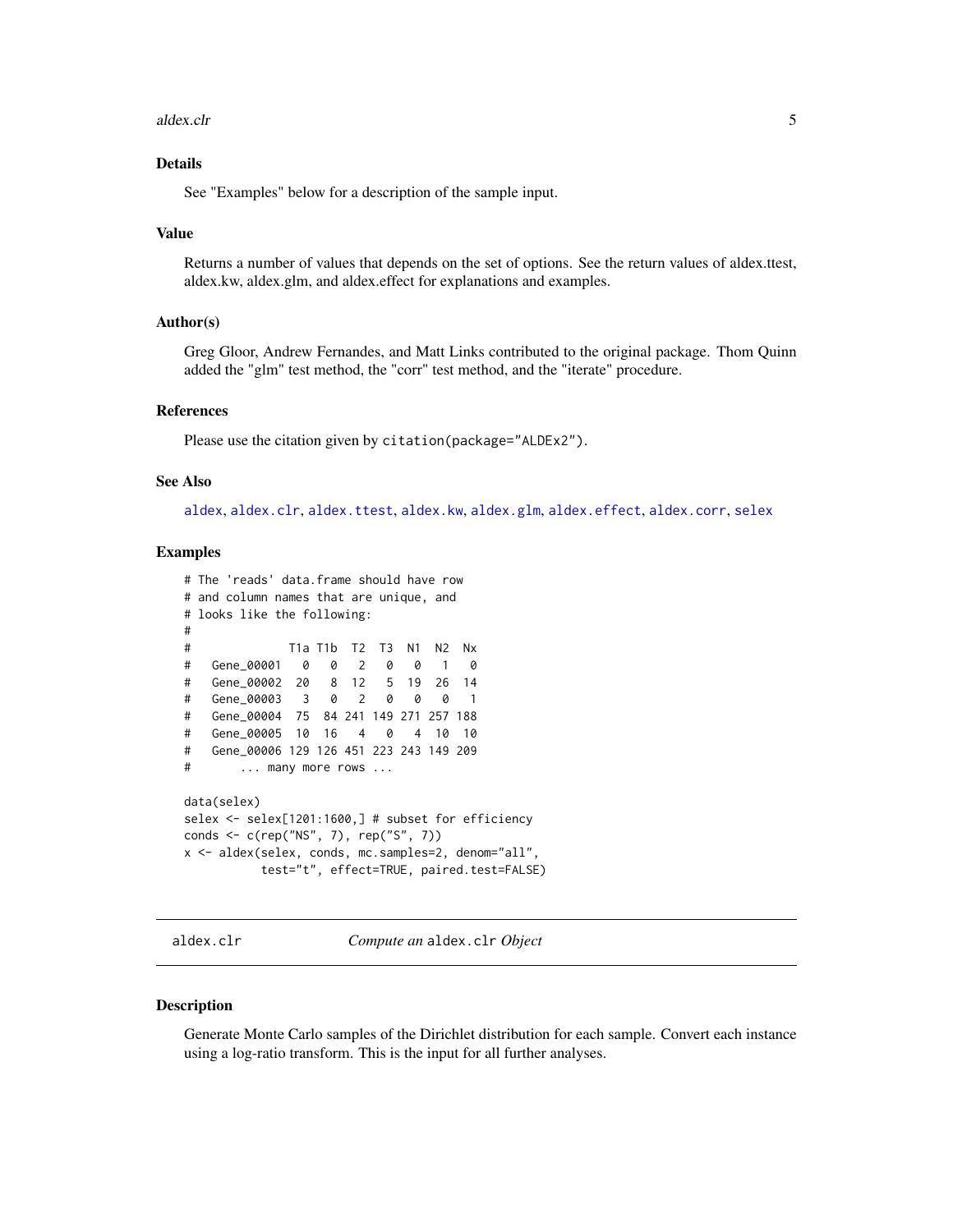#### <span id="page-4-0"></span>aldex.clr 5

## Details

See "Examples" below for a description of the sample input.

#### Value

Returns a number of values that depends on the set of options. See the return values of aldex.ttest, aldex.kw, aldex.glm, and aldex.effect for explanations and examples.

#### Author(s)

Greg Gloor, Andrew Fernandes, and Matt Links contributed to the original package. Thom Quinn added the "glm" test method, the "corr" test method, and the "iterate" procedure.

## References

Please use the citation given by citation(package="ALDEx2").

#### See Also

[aldex](#page-2-1), [aldex.clr](#page-4-1), [aldex.ttest](#page-20-1), [aldex.kw](#page-15-1), [aldex.glm](#page-12-1), [aldex.effect](#page-10-1), [aldex.corr](#page-9-1), [selex](#page-34-1)

#### Examples

```
# The 'reads' data.frame should have row
# and column names that are unique, and
# looks like the following:
#
# T1a T1b T2 T3 N1 N2 Nx
# Gene_00001 0 0 2 0 0 1 0
# Gene_00002 20 8 12 5 19 26 14
# Gene_00003 3 0 2 0 0 0 1
# Gene_00004 75 84 241 149 271 257 188
# Gene_00005 10 16 4 0 4 10 10
# Gene_00006 129 126 451 223 243 149 209
# ... many more rows ...
data(selex)
selex <- selex[1201:1600,] # subset for efficiency
conds <- c(rep("NS", 7), rep("S", 7))
x <- aldex(selex, conds, mc.samples=2, denom="all",
         test="t", effect=TRUE, paired.test=FALSE)
```
<span id="page-4-1"></span>aldex.clr *Compute an* aldex.clr *Object*

#### <span id="page-4-2"></span>Description

Generate Monte Carlo samples of the Dirichlet distribution for each sample. Convert each instance using a log-ratio transform. This is the input for all further analyses.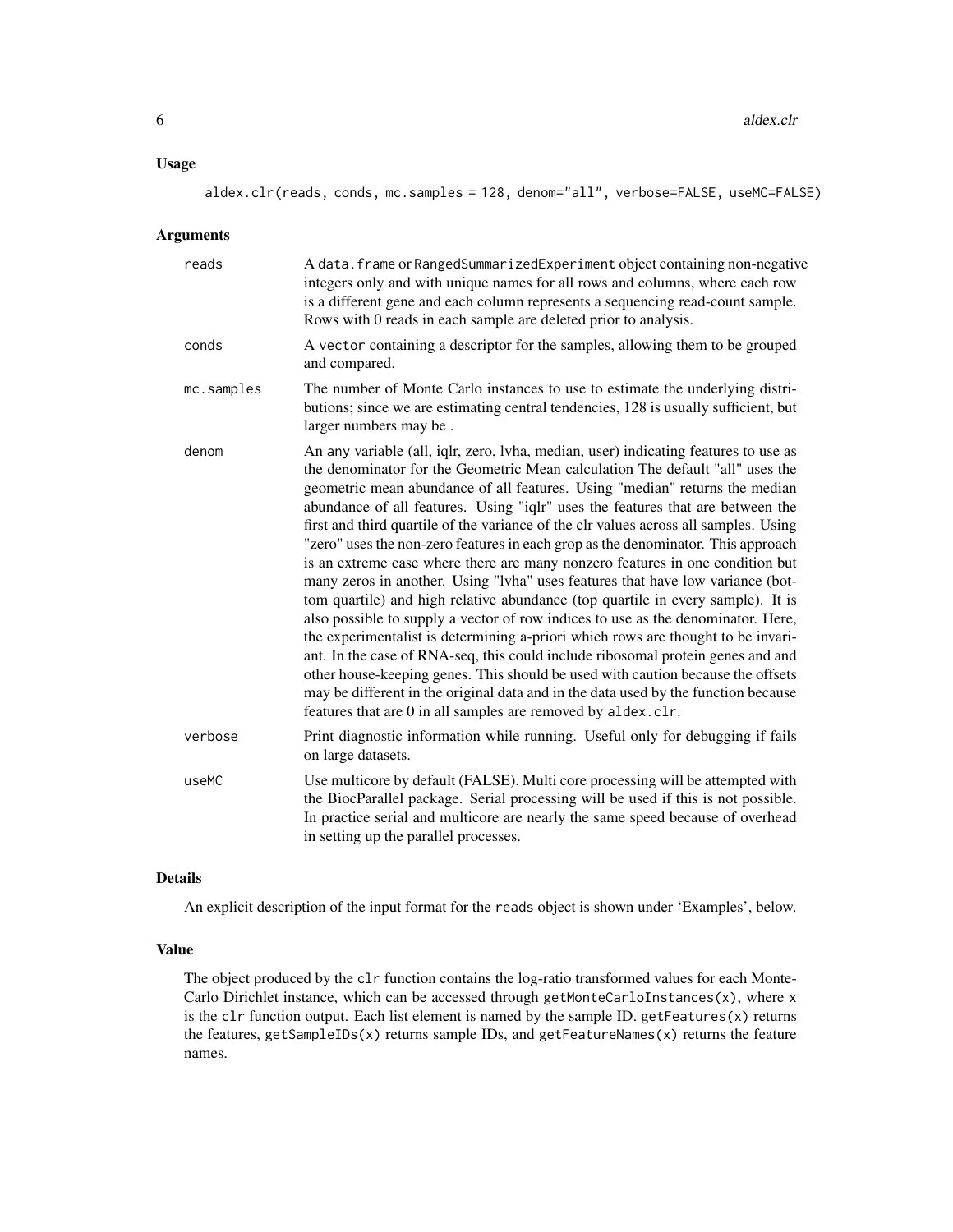## Usage

## Arguments

| reads      | A data. frame or RangedSummarizedExperiment object containing non-negative<br>integers only and with unique names for all rows and columns, where each row<br>is a different gene and each column represents a sequencing read-count sample.<br>Rows with 0 reads in each sample are deleted prior to analysis.                                                                                                                                                                                                                                                                                                                                                                                                                                                                                                                                                                                                                                                                                                                                                                                                                                                                                                                                                             |
|------------|-----------------------------------------------------------------------------------------------------------------------------------------------------------------------------------------------------------------------------------------------------------------------------------------------------------------------------------------------------------------------------------------------------------------------------------------------------------------------------------------------------------------------------------------------------------------------------------------------------------------------------------------------------------------------------------------------------------------------------------------------------------------------------------------------------------------------------------------------------------------------------------------------------------------------------------------------------------------------------------------------------------------------------------------------------------------------------------------------------------------------------------------------------------------------------------------------------------------------------------------------------------------------------|
| conds      | A vector containing a descriptor for the samples, allowing them to be grouped<br>and compared.                                                                                                                                                                                                                                                                                                                                                                                                                                                                                                                                                                                                                                                                                                                                                                                                                                                                                                                                                                                                                                                                                                                                                                              |
| mc.samples | The number of Monte Carlo instances to use to estimate the underlying distri-<br>butions; since we are estimating central tendencies, 128 is usually sufficient, but<br>larger numbers may be.                                                                                                                                                                                                                                                                                                                                                                                                                                                                                                                                                                                                                                                                                                                                                                                                                                                                                                                                                                                                                                                                              |
| denom      | An any variable (all, iqlr, zero, lvha, median, user) indicating features to use as<br>the denominator for the Geometric Mean calculation The default "all" uses the<br>geometric mean abundance of all features. Using "median" returns the median<br>abundance of all features. Using "iqlr" uses the features that are between the<br>first and third quartile of the variance of the clr values across all samples. Using<br>"zero" uses the non-zero features in each grop as the denominator. This approach<br>is an extreme case where there are many nonzero features in one condition but<br>many zeros in another. Using "lvha" uses features that have low variance (bot-<br>tom quartile) and high relative abundance (top quartile in every sample). It is<br>also possible to supply a vector of row indices to use as the denominator. Here,<br>the experimentalist is determining a-priori which rows are thought to be invari-<br>ant. In the case of RNA-seq, this could include ribosomal protein genes and and<br>other house-keeping genes. This should be used with caution because the offsets<br>may be different in the original data and in the data used by the function because<br>features that are 0 in all samples are removed by aldex.clr. |
| verbose    | Print diagnostic information while running. Useful only for debugging if fails<br>on large datasets.                                                                                                                                                                                                                                                                                                                                                                                                                                                                                                                                                                                                                                                                                                                                                                                                                                                                                                                                                                                                                                                                                                                                                                        |
| useMC      | Use multicore by default (FALSE). Multi core processing will be attempted with<br>the BiocParallel package. Serial processing will be used if this is not possible.<br>In practice serial and multicore are nearly the same speed because of overhead<br>in setting up the parallel processes.                                                                                                                                                                                                                                                                                                                                                                                                                                                                                                                                                                                                                                                                                                                                                                                                                                                                                                                                                                              |

#### Details

An explicit description of the input format for the reads object is shown under 'Examples', below.

## Value

The object produced by the clr function contains the log-ratio transformed values for each Monte-Carlo Dirichlet instance, which can be accessed through getMonteCarloInstances $(x)$ , where x is the clr function output. Each list element is named by the sample ID. getFeatures(x) returns the features, getSampleIDs(x) returns sample IDs, and getFeatureNames(x) returns the feature names.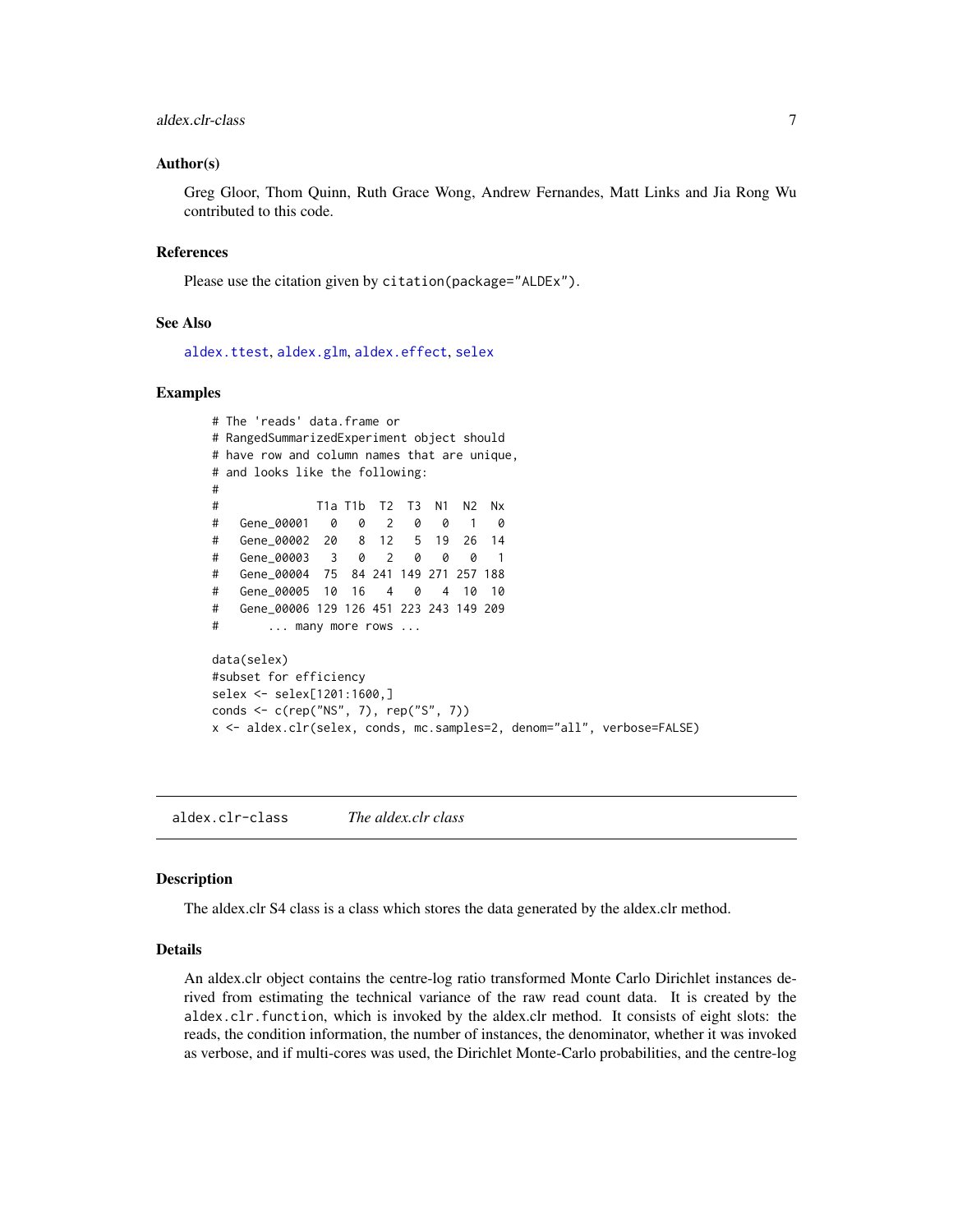## <span id="page-6-0"></span>aldex.clr-class 7

#### Author(s)

Greg Gloor, Thom Quinn, Ruth Grace Wong, Andrew Fernandes, Matt Links and Jia Rong Wu contributed to this code.

#### References

Please use the citation given by citation(package="ALDEx").

#### See Also

[aldex.ttest](#page-20-1), [aldex.glm](#page-12-1), [aldex.effect](#page-10-1), [selex](#page-34-1)

#### Examples

```
# The 'reads' data.frame or
# RangedSummarizedExperiment object should
# have row and column names that are unique,
# and looks like the following:
#
# T1a T1b T2 T3 N1 N2 Nx
# Gene_00001 0 0 2 0 0 1 0
# Gene_00002 20 8 12 5 19 26 14
# Gene_00003 3 0 2 0 0 0 1
# Gene_00004 75 84 241 149 271 257 188
# Gene_00005 10 16 4 0 4 10 10
# Gene_00006 129 126 451 223 243 149 209
# ... many more rows ...
data(selex)
#subset for efficiency
selex <- selex[1201:1600,]
conds <- c(rep("NS", 7), rep("S", 7))
x <- aldex.clr(selex, conds, mc.samples=2, denom="all", verbose=FALSE)
```
aldex.clr-class *The aldex.clr class*

#### Description

The aldex.clr S4 class is a class which stores the data generated by the aldex.clr method.

## Details

An aldex.clr object contains the centre-log ratio transformed Monte Carlo Dirichlet instances derived from estimating the technical variance of the raw read count data. It is created by the aldex.clr.function, which is invoked by the aldex.clr method. It consists of eight slots: the reads, the condition information, the number of instances, the denominator, whether it was invoked as verbose, and if multi-cores was used, the Dirichlet Monte-Carlo probabilities, and the centre-log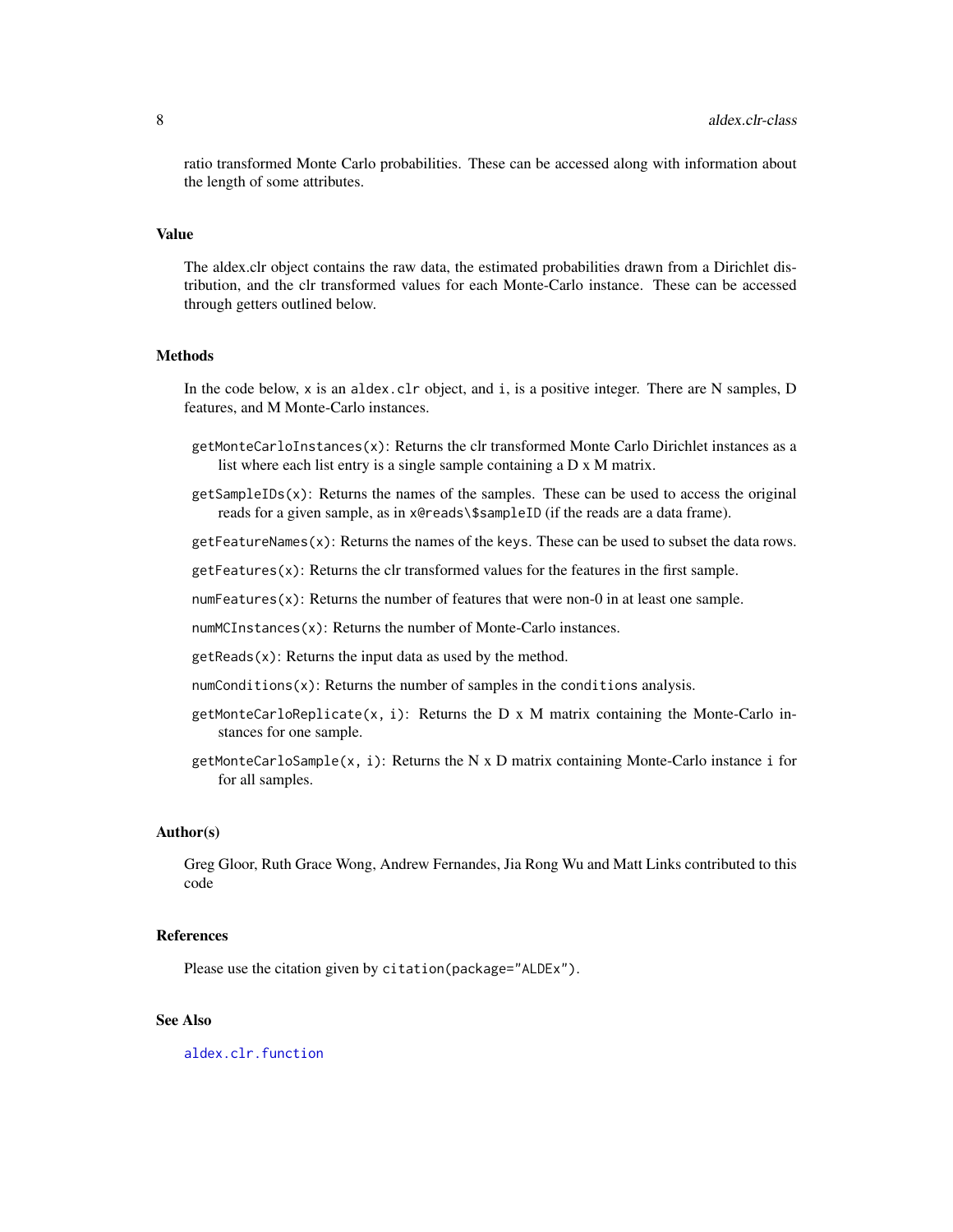<span id="page-7-0"></span>ratio transformed Monte Carlo probabilities. These can be accessed along with information about the length of some attributes.

#### Value

The aldex.clr object contains the raw data, the estimated probabilities drawn from a Dirichlet distribution, and the clr transformed values for each Monte-Carlo instance. These can be accessed through getters outlined below.

#### Methods

In the code below, x is an aldex.clr object, and i, is a positive integer. There are N samples, D features, and M Monte-Carlo instances.

- getMonteCarloInstances(x): Returns the clr transformed Monte Carlo Dirichlet instances as a list where each list entry is a single sample containing a D x M matrix.
- $getSampleIDS(x)$ : Returns the names of the samples. These can be used to access the original reads for a given sample, as in x@reads\\$sampleID (if the reads are a data frame).
- $getFeatures(x)$ : Returns the names of the keys. These can be used to subset the data rows.

 $getFeatures(x)$ : Returns the clr transformed values for the features in the first sample.

numFeatures $(x)$ : Returns the number of features that were non-0 in at least one sample.

numMCInstances(x): Returns the number of Monte-Carlo instances.

 $getReads(x)$ : Returns the input data as used by the method.

- $numConditions(x)$ : Returns the number of samples in the conditions analysis.
- getMonteCarloReplicate(x, i): Returns the D x M matrix containing the Monte-Carlo instances for one sample.
- getMonteCarloSample(x, i): Returns the N x D matrix containing Monte-Carlo instance i for for all samples.

#### Author(s)

Greg Gloor, Ruth Grace Wong, Andrew Fernandes, Jia Rong Wu and Matt Links contributed to this code

#### References

Please use the citation given by citation(package="ALDEx").

## See Also

[aldex.clr.function](#page-4-2)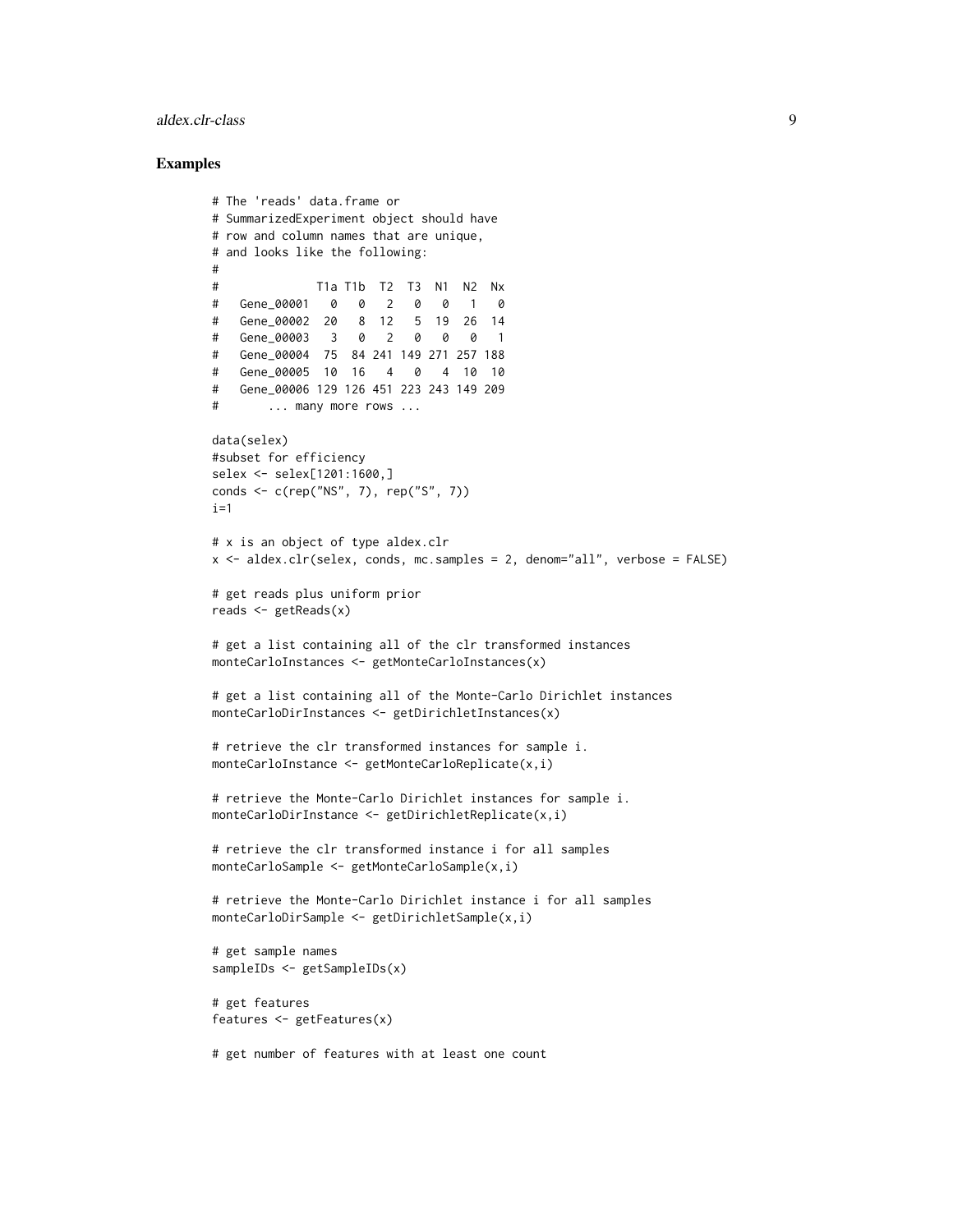## aldex.clr-class 9

```
# The 'reads' data.frame or
# SummarizedExperiment object should have
# row and column names that are unique,
# and looks like the following:
#
# T1a T1b T2 T3 N1 N2 Nx
# Gene_00001 0 0 2 0 0 1 0
# Gene_00002 20 8 12 5 19 26 14
# Gene_00003 3 0 2 0 0 0 1
# Gene_00004 75 84 241 149 271 257 188
# Gene_00005 10 16 4 0 4 10 10
# Gene_00006 129 126 451 223 243 149 209
# ... many more rows ...
data(selex)
#subset for efficiency
selex <- selex[1201:1600,]
conds <- c(rep("NS", 7), rep("S", 7))
i=1# x is an object of type aldex.clr
x <- aldex.clr(selex, conds, mc.samples = 2, denom="all", verbose = FALSE)
# get reads plus uniform prior
reads \leq getReads(x)
# get a list containing all of the clr transformed instances
monteCarloInstances <- getMonteCarloInstances(x)
# get a list containing all of the Monte-Carlo Dirichlet instances
monteCarloDirInstances <- getDirichletInstances(x)
# retrieve the clr transformed instances for sample i.
monteCarloInstance <- getMonteCarloReplicate(x,i)
# retrieve the Monte-Carlo Dirichlet instances for sample i.
monteCarloDirInstance <- getDirichletReplicate(x,i)
# retrieve the clr transformed instance i for all samples
monteCarloSample <- getMonteCarloSample(x,i)
# retrieve the Monte-Carlo Dirichlet instance i for all samples
monteCarloDirSample <- getDirichletSample(x,i)
# get sample names
sampleIDs <- getSampleIDs(x)
# get features
features <- getFeatures(x)
# get number of features with at least one count
```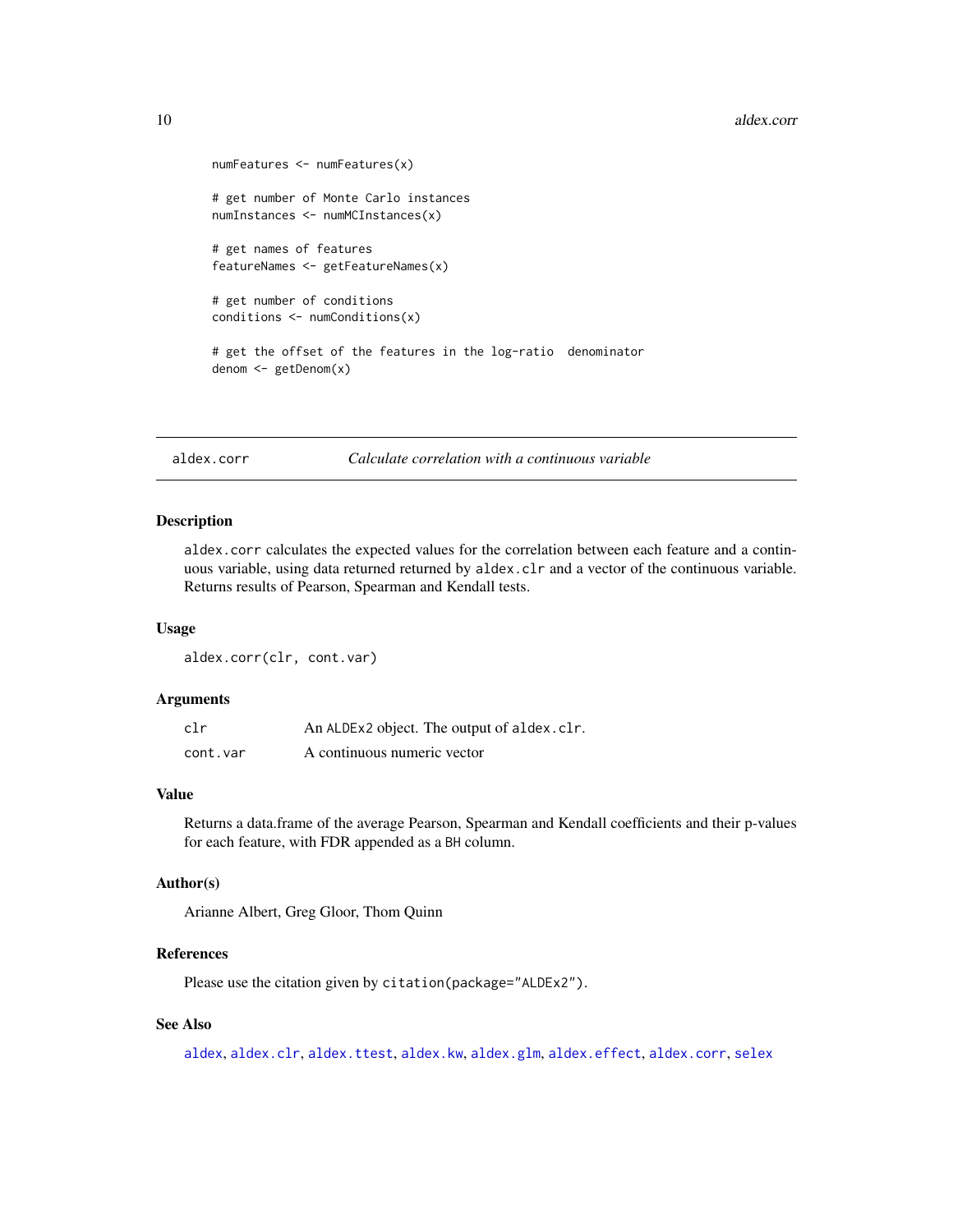```
numFeatures <- numFeatures(x)
# get number of Monte Carlo instances
numInstances <- numMCInstances(x)
# get names of features
featureNames <- getFeatureNames(x)
# get number of conditions
conditions <- numConditions(x)
# get the offset of the features in the log-ratio denominator
denom <- getDenom(x)
```

```
aldex.corr Calculate correlation with a continuous variable
```
### Description

aldex.corr calculates the expected values for the correlation between each feature and a continuous variable, using data returned returned by aldex.clr and a vector of the continuous variable. Returns results of Pearson, Spearman and Kendall tests.

#### Usage

aldex.corr(clr, cont.var)

#### Arguments

| clr      | An ALDEx2 object. The output of aldex.clr. |
|----------|--------------------------------------------|
| cont.var | A continuous numeric vector                |

## Value

Returns a data.frame of the average Pearson, Spearman and Kendall coefficients and their p-values for each feature, with FDR appended as a BH column.

#### Author(s)

Arianne Albert, Greg Gloor, Thom Quinn

## References

Please use the citation given by citation(package="ALDEx2").

## See Also

[aldex](#page-2-1), [aldex.clr](#page-4-1), [aldex.ttest](#page-20-1), [aldex.kw](#page-15-1), [aldex.glm](#page-12-1), [aldex.effect](#page-10-1), [aldex.corr](#page-9-1), [selex](#page-34-1)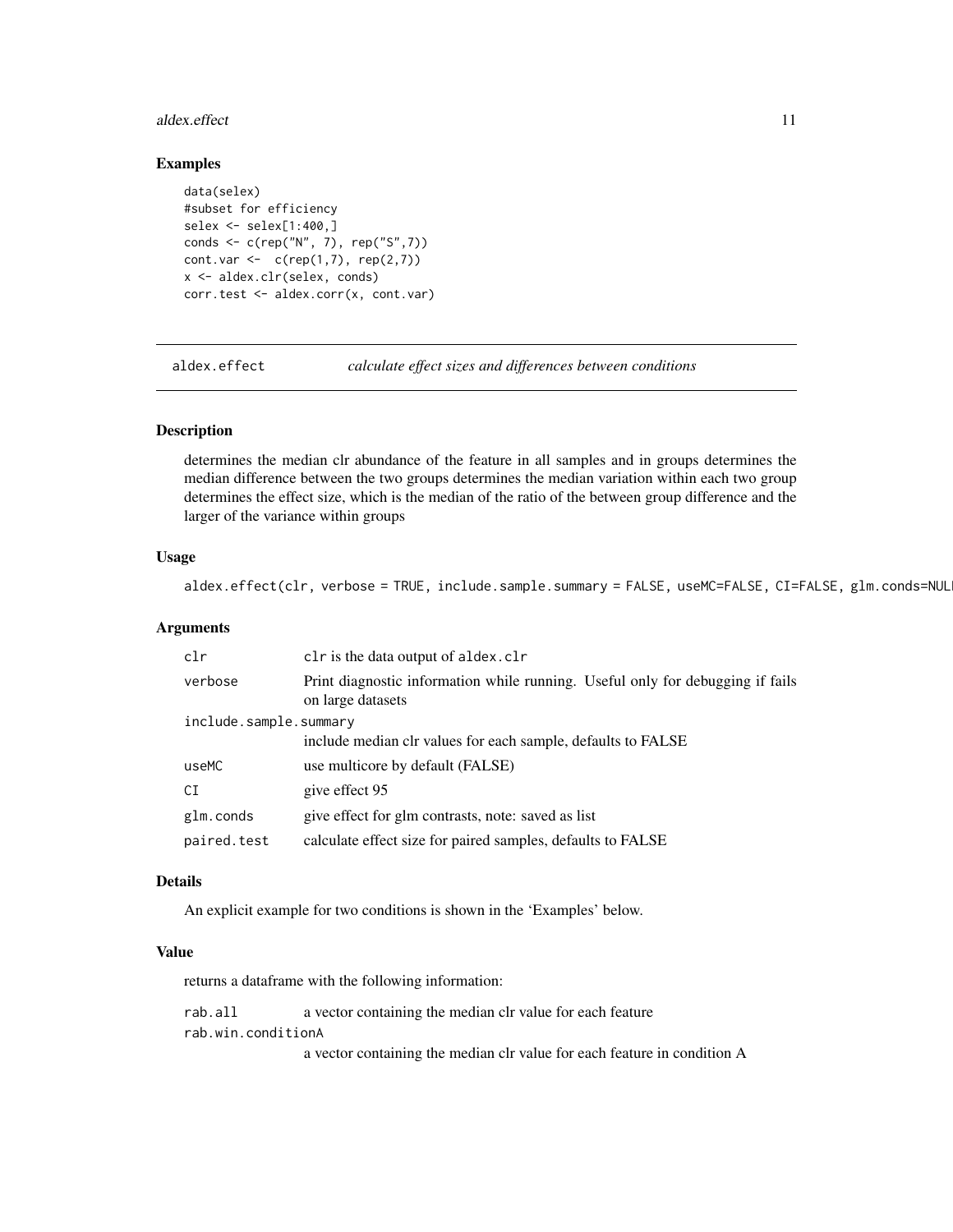#### <span id="page-10-0"></span>aldex.effect 11

#### Examples

```
data(selex)
#subset for efficiency
selex <- selex[1:400,]
conds <- c(rep("N", 7), rep("S",7))
cont.var < -c(rep(1,7), rep(2,7))x <- aldex.clr(selex, conds)
corr.test <- aldex.corr(x, cont.var)
```
<span id="page-10-1"></span>aldex.effect *calculate effect sizes and differences between conditions*

#### Description

determines the median clr abundance of the feature in all samples and in groups determines the median difference between the two groups determines the median variation within each two group determines the effect size, which is the median of the ratio of the between group difference and the larger of the variance within groups

#### Usage

aldex.effect(clr, verbose = TRUE, include.sample.summary = FALSE, useMC=FALSE, CI=FALSE, glm.conds=NUL

#### Arguments

| clr                    | clr is the data output of aldex.clr                                                                 |  |
|------------------------|-----------------------------------------------------------------------------------------------------|--|
| verbose                | Print diagnostic information while running. Useful only for debugging if fails<br>on large datasets |  |
| include.sample.summary |                                                                                                     |  |
|                        | include median clr values for each sample, defaults to FALSE                                        |  |
| useMC                  | use multicore by default (FALSE)                                                                    |  |
| CI                     | give effect 95                                                                                      |  |
| glm.conds              | give effect for glm contrasts, note: saved as list                                                  |  |
| paired.test            | calculate effect size for paired samples, defaults to FALSE                                         |  |

## Details

An explicit example for two conditions is shown in the 'Examples' below.

#### Value

returns a dataframe with the following information:

rab.all a vector containing the median clr value for each feature rab.win.conditionA

a vector containing the median clr value for each feature in condition A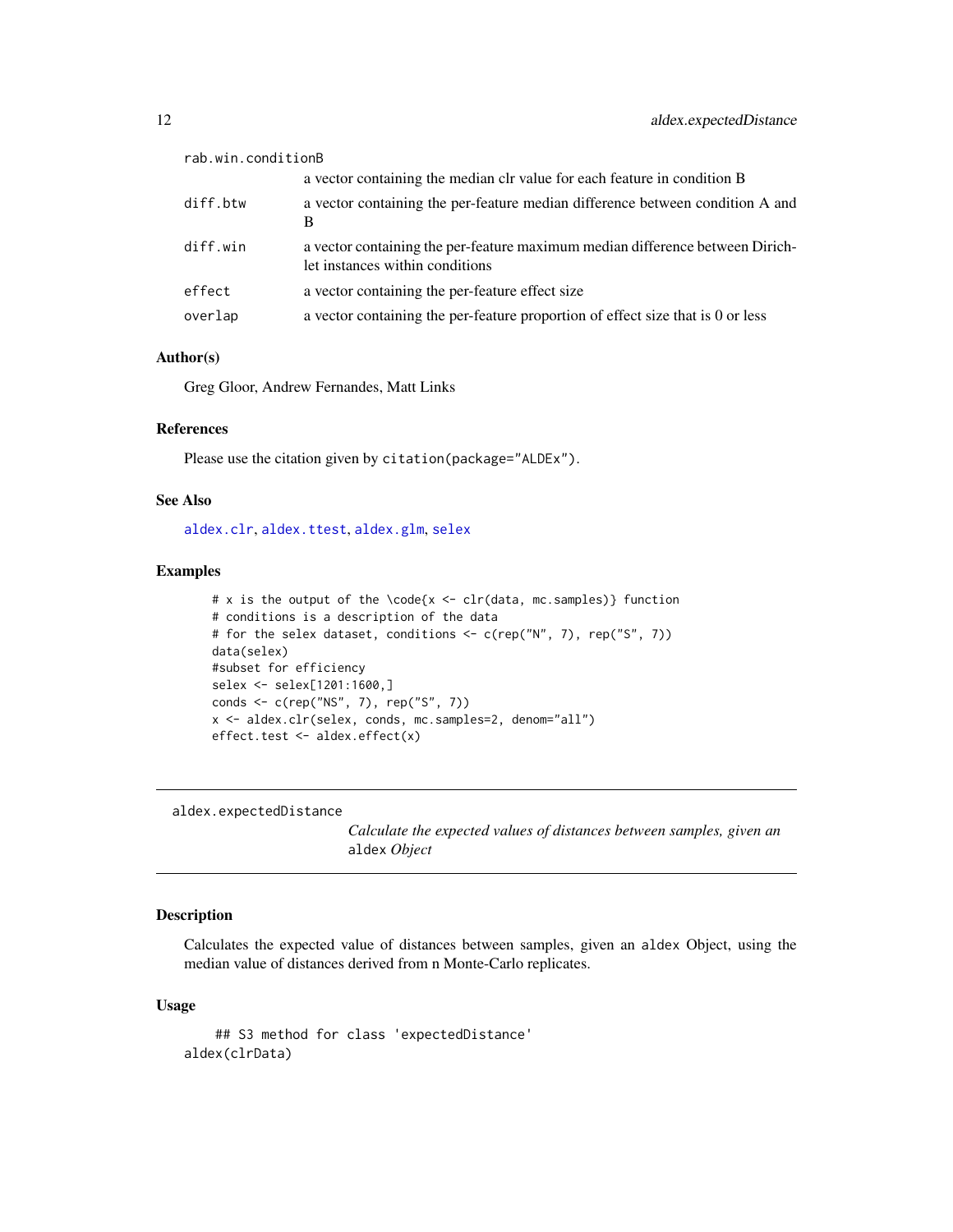<span id="page-11-0"></span>

| rab.win.conditionB |                                                                                                                  |
|--------------------|------------------------------------------------------------------------------------------------------------------|
|                    | a vector containing the median clr value for each feature in condition B                                         |
| diff.btw           | a vector containing the per-feature median difference between condition A and<br>B                               |
| diff.win           | a vector containing the per-feature maximum median difference between Dirich-<br>let instances within conditions |
| effect             | a vector containing the per-feature effect size                                                                  |
| overlap            | a vector containing the per-feature proportion of effect size that is 0 or less                                  |
|                    |                                                                                                                  |

## Author(s)

Greg Gloor, Andrew Fernandes, Matt Links

## References

Please use the citation given by citation(package="ALDEx").

#### See Also

[aldex.clr](#page-4-1), [aldex.ttest](#page-20-1), [aldex.glm](#page-12-1), [selex](#page-34-1)

#### Examples

```
# x is the output of the \code{x <- clr(data, mc.samples)} function
# conditions is a description of the data
# for the selex dataset, conditions <- c(rep("N", 7), rep("S", 7))
data(selex)
#subset for efficiency
selex <- selex[1201:1600,]
conds <- c(rep("NS", 7), rep("S", 7))
x <- aldex.clr(selex, conds, mc.samples=2, denom="all")
effect.test <- aldex.effect(x)
```
aldex.expectedDistance

*Calculate the expected values of distances between samples, given an* aldex *Object*

## Description

Calculates the expected value of distances between samples, given an aldex Object, using the median value of distances derived from n Monte-Carlo replicates.

#### Usage

```
## S3 method for class 'expectedDistance'
aldex(clrData)
```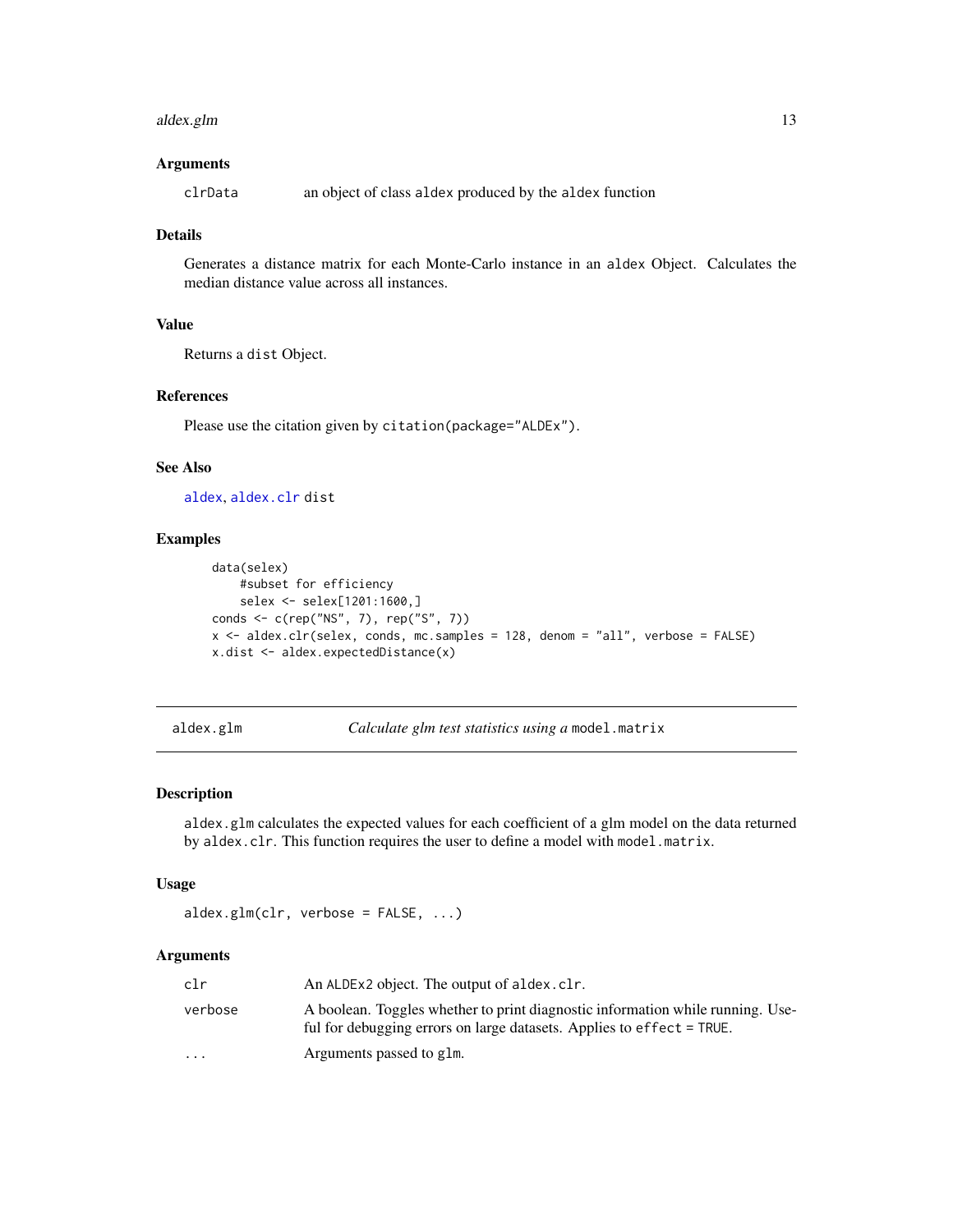#### <span id="page-12-0"></span>aldex.glm 5.13

#### Arguments

clrData an object of class aldex produced by the aldex function

## Details

Generates a distance matrix for each Monte-Carlo instance in an aldex Object. Calculates the median distance value across all instances.

## Value

Returns a dist Object.

## References

Please use the citation given by citation(package="ALDEx").

#### See Also

[aldex](#page-2-1), [aldex.clr](#page-4-1) dist

## Examples

```
data(selex)
   #subset for efficiency
    selex <- selex[1201:1600,]
conds <- c(rep("NS", 7), rep("S", 7))
x <- aldex.clr(selex, conds, mc.samples = 128, denom = "all", verbose = FALSE)
x.dist <- aldex.expectedDistance(x)
```
<span id="page-12-1"></span>aldex.glm *Calculate glm test statistics using a* model.matrix

## Description

aldex.glm calculates the expected values for each coefficient of a glm model on the data returned by aldex.clr. This function requires the user to define a model with model.matrix.

#### Usage

```
aldex.glm(clr, verbose = FALSE, ...)
```
#### Arguments

| clr                     | An ALDEx2 object. The output of aldex.clr.                                                                                                              |
|-------------------------|---------------------------------------------------------------------------------------------------------------------------------------------------------|
| verbose                 | A boolean. Toggles whether to print diagnostic information while running. Use-<br>ful for debugging errors on large datasets. Applies to effect = TRUE. |
| $\cdot$ $\cdot$ $\cdot$ | Arguments passed to glm.                                                                                                                                |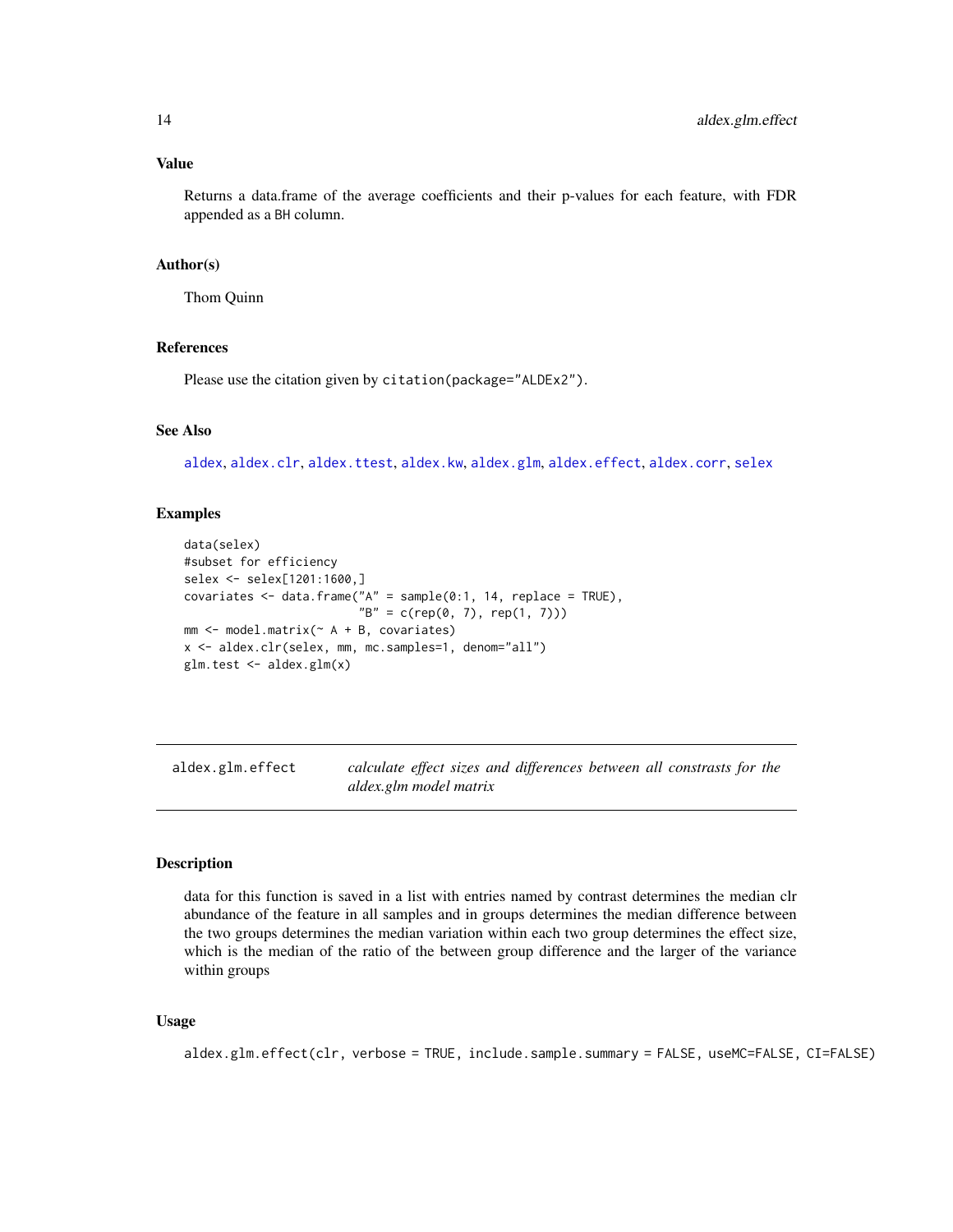## <span id="page-13-0"></span>Value

Returns a data.frame of the average coefficients and their p-values for each feature, with FDR appended as a BH column.

## Author(s)

Thom Quinn

#### References

Please use the citation given by citation(package="ALDEx2").

#### See Also

[aldex](#page-2-1), [aldex.clr](#page-4-1), [aldex.ttest](#page-20-1), [aldex.kw](#page-15-1), [aldex.glm](#page-12-1), [aldex.effect](#page-10-1), [aldex.corr](#page-9-1), [selex](#page-34-1)

## Examples

```
data(selex)
#subset for efficiency
selex <- selex[1201:1600,]
covariates \leq data.frame("A" = sample(0:1, 14, replace = TRUE),
                          "B" = c(rep(\emptyset, 7), rep(1, 7)))mm <- model.matrix(~ A + B, covariates)
x <- aldex.clr(selex, mm, mc.samples=1, denom="all")
glm.test <- aldex.glm(x)
```
aldex.glm.effect *calculate effect sizes and differences between all constrasts for the aldex.glm model matrix*

## Description

data for this function is saved in a list with entries named by contrast determines the median clr abundance of the feature in all samples and in groups determines the median difference between the two groups determines the median variation within each two group determines the effect size, which is the median of the ratio of the between group difference and the larger of the variance within groups

#### Usage

```
aldex.glm.effect(clr, verbose = TRUE, include.sample.summary = FALSE, useMC=FALSE, CI=FALSE)
```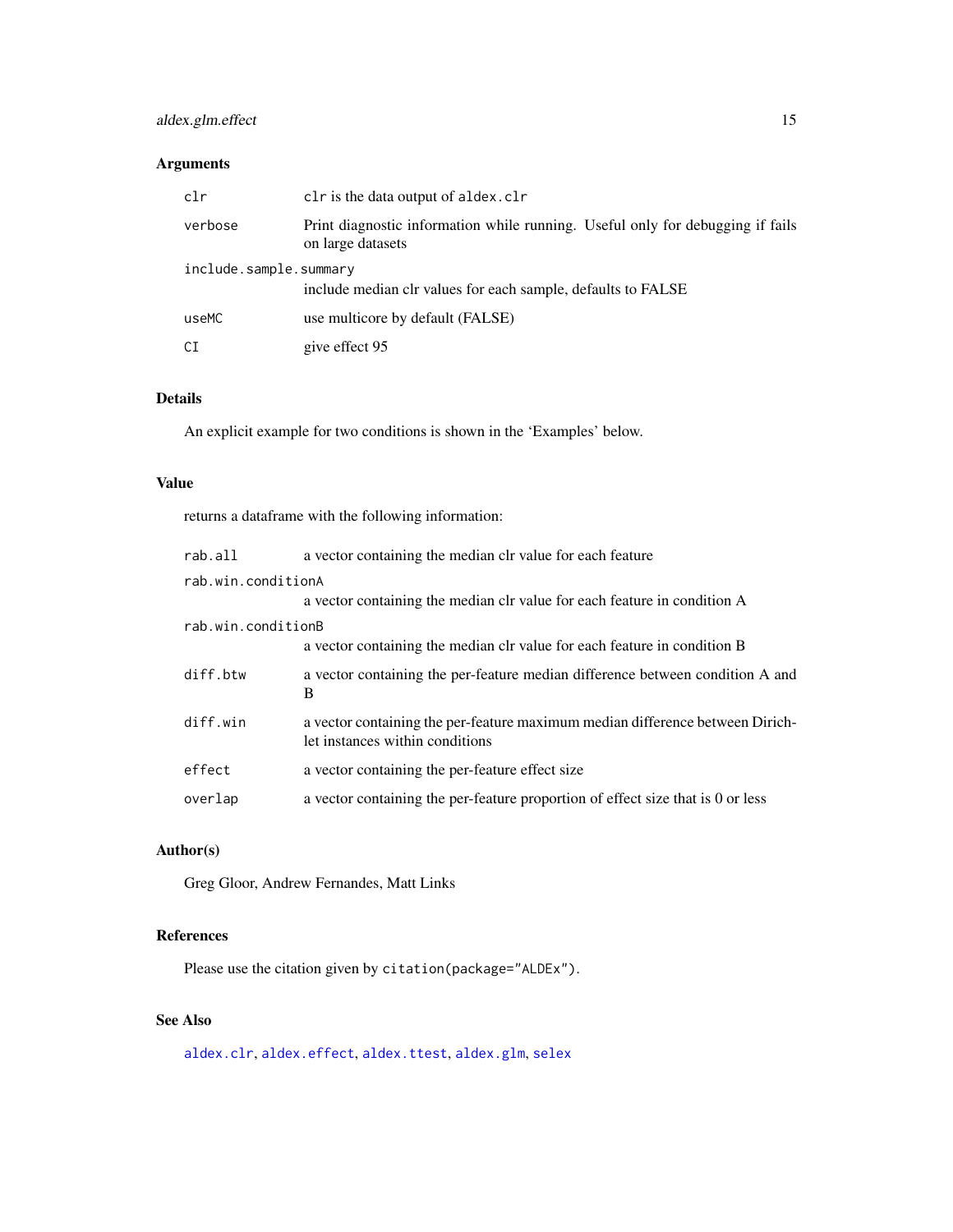## <span id="page-14-0"></span>aldex.glm.effect 15

## Arguments

| clr                    | clr is the data output of aldex.clr                                                                 |
|------------------------|-----------------------------------------------------------------------------------------------------|
| verbose                | Print diagnostic information while running. Useful only for debugging if fails<br>on large datasets |
| include.sample.summary | include median clr values for each sample, defaults to FALSE                                        |
| useMC                  | use multicore by default (FALSE)                                                                    |
| СI                     | give effect 95                                                                                      |

## Details

An explicit example for two conditions is shown in the 'Examples' below.

#### Value

returns a dataframe with the following information:

| rab.all            | a vector containing the median clr value for each feature                                                        |
|--------------------|------------------------------------------------------------------------------------------------------------------|
| rab.win.conditionA |                                                                                                                  |
|                    | a vector containing the median clr value for each feature in condition A                                         |
| rab.win.conditionB |                                                                                                                  |
|                    | a vector containing the median clr value for each feature in condition B                                         |
| diff.btw           | a vector containing the per-feature median difference between condition A and<br>B                               |
| diff.win           | a vector containing the per-feature maximum median difference between Dirich-<br>let instances within conditions |
| effect             | a vector containing the per-feature effect size                                                                  |
| overlap            | a vector containing the per-feature proportion of effect size that is 0 or less                                  |

## Author(s)

Greg Gloor, Andrew Fernandes, Matt Links

## References

Please use the citation given by citation(package="ALDEx").

## See Also

[aldex.clr](#page-4-1), [aldex.effect](#page-10-1), [aldex.ttest](#page-20-1), [aldex.glm](#page-12-1), [selex](#page-34-1)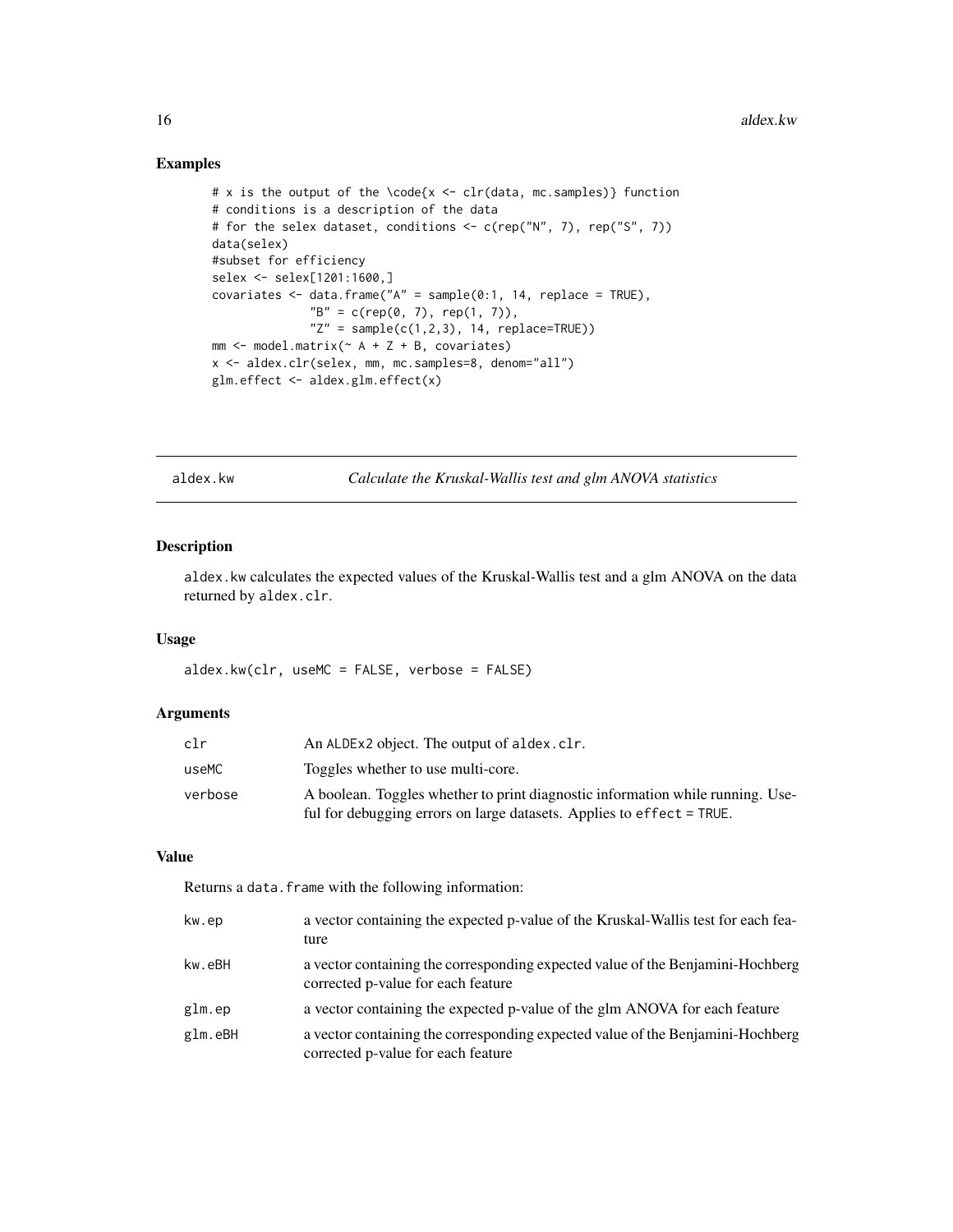## Examples

```
# x is the output of the \code{x < - clr(data, mc.samples)} function
# conditions is a description of the data
# for the selex dataset, conditions <- c(rep("N", 7), rep("S", 7))
data(selex)
#subset for efficiency
selex <- selex[1201:1600,]
covariates \leq data.frame("A" = sample(0:1, 14, replace = TRUE),
              "B" = c(rep(\emptyset, 7), rep(1, 7)),"Z" = sample(c(1,2,3), 14, replace=TRUE))mm < - model.matrix(\sim A + Z + B, covariates)
x <- aldex.clr(selex, mm, mc.samples=8, denom="all")
glm.effect <- aldex.glm.effect(x)
```
<span id="page-15-1"></span>aldex.kw *Calculate the Kruskal-Wallis test and glm ANOVA statistics*

## Description

aldex.kw calculates the expected values of the Kruskal-Wallis test and a glm ANOVA on the data returned by aldex.clr.

## Usage

aldex.kw(clr, useMC = FALSE, verbose = FALSE)

#### Arguments

| clr     | An ALDEx2 object. The output of aldex.clr.                                     |
|---------|--------------------------------------------------------------------------------|
| useMC   | Toggles whether to use multi-core.                                             |
| verbose | A boolean. Toggles whether to print diagnostic information while running. Use- |
|         | ful for debugging errors on large datasets. Applies to effect = TRUE.          |

## Value

Returns a data.frame with the following information:

| kw.ep   | a vector containing the expected p-value of the Kruskal-Wallis test for each fea-<br>ture                            |
|---------|----------------------------------------------------------------------------------------------------------------------|
| kw.eBH  | a vector containing the corresponding expected value of the Benjamini-Hochberg<br>corrected p-value for each feature |
| glm.ep  | a vector containing the expected p-value of the glm ANOVA for each feature                                           |
| glm.eBH | a vector containing the corresponding expected value of the Benjamini-Hochberg<br>corrected p-value for each feature |

<span id="page-15-0"></span>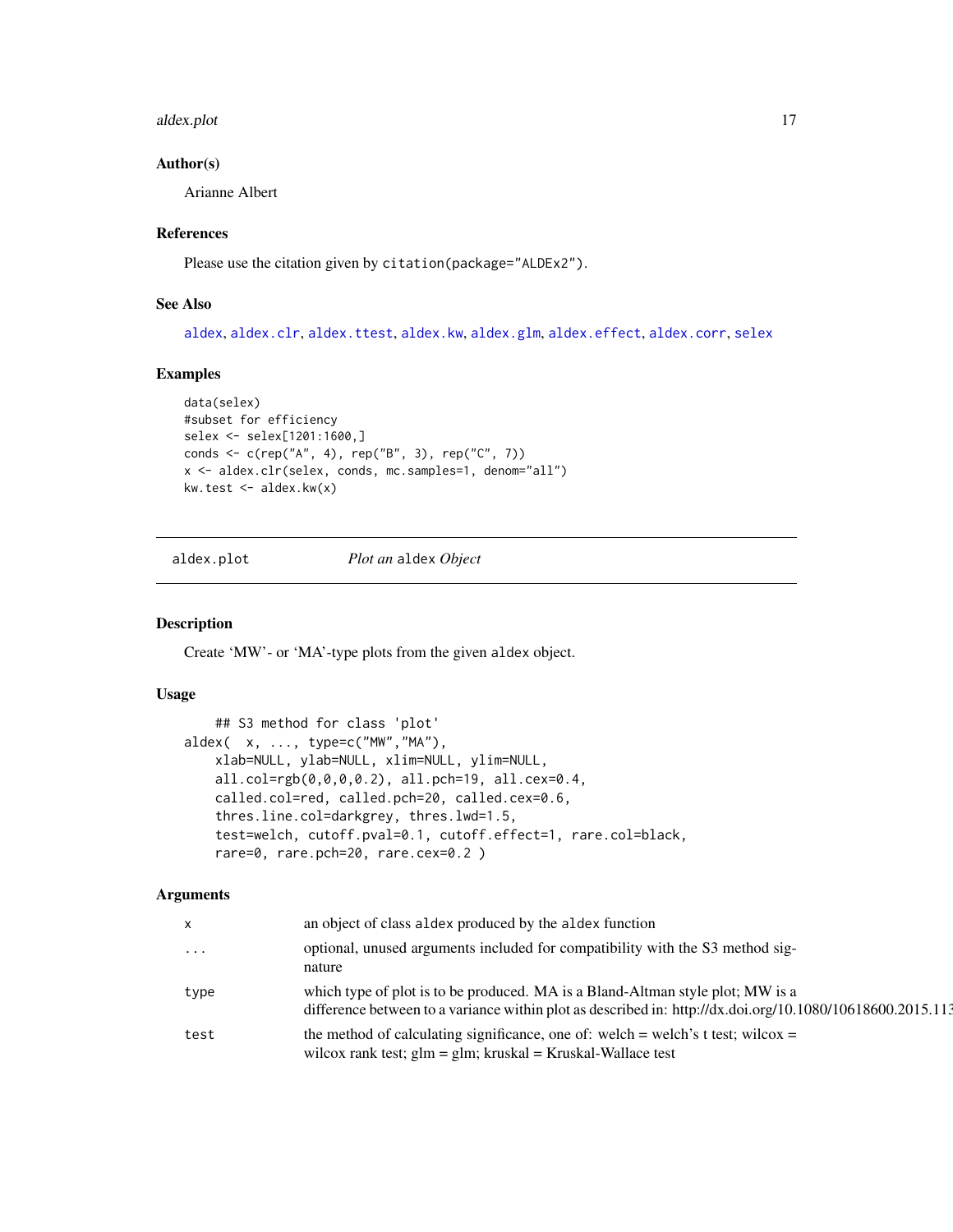#### <span id="page-16-0"></span>aldex.plot the contract of the contract of the contract of the contract of the contract of the contract of the contract of the contract of the contract of the contract of the contract of the contract of the contract of the

#### Author(s)

Arianne Albert

#### References

Please use the citation given by citation(package="ALDEx2").

#### See Also

[aldex](#page-2-1), [aldex.clr](#page-4-1), [aldex.ttest](#page-20-1), [aldex.kw](#page-15-1), [aldex.glm](#page-12-1), [aldex.effect](#page-10-1), [aldex.corr](#page-9-1), [selex](#page-34-1)

#### Examples

```
data(selex)
#subset for efficiency
selex <- selex[1201:1600,]
conds <- c(rep("A", 4), rep("B", 3), rep("C", 7))
x <- aldex.clr(selex, conds, mc.samples=1, denom="all")
kw.test <- aldex.kw(x)
```
aldex.plot *Plot an* aldex *Object*

## Description

Create 'MW'- or 'MA'-type plots from the given aldex object.

## Usage

```
## S3 method for class 'plot'
aldex( x, ..., type=c("MW","MA"),
   xlab=NULL, ylab=NULL, xlim=NULL, ylim=NULL,
   all.col=rgb(0,0,0,0.2), all.pch=19, all.cex=0.4,
   called.col=red, called.pch=20, called.cex=0.6,
   thres.line.col=darkgrey, thres.lwd=1.5,
   test=welch, cutoff.pval=0.1, cutoff.effect=1, rare.col=black,
   rare=0, rare.pch=20, rare.cex=0.2 )
```
## Arguments

| x    | an object of class aldex produced by the aldex function                                                                                                                                     |
|------|---------------------------------------------------------------------------------------------------------------------------------------------------------------------------------------------|
| .    | optional, unused arguments included for compatibility with the S3 method sig-<br>nature                                                                                                     |
| type | which type of plot is to be produced. MA is a Bland-Altman style plot; MW is a<br>difference between to a variance within plot as described in: http://dx.doi.org/10.1080/10618600.2015.113 |
| test | the method of calculating significance, one of: welch = welch's t test; wilcox =<br>wilcox rank test; $g/m = g/m$ ; kruskal = Kruskal-Wallace test                                          |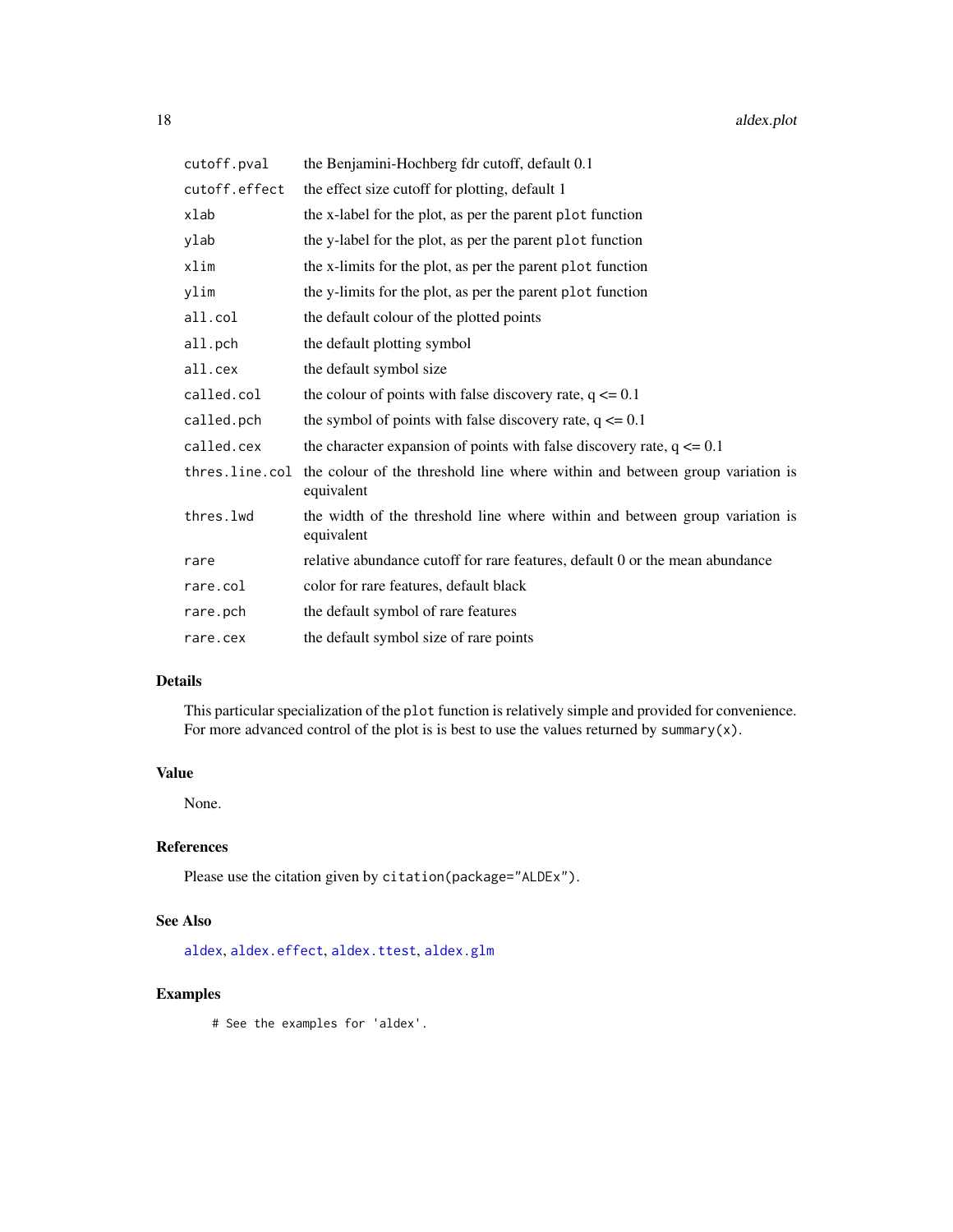<span id="page-17-0"></span>

| cutoff.pval   | the Benjamini-Hochberg fdr cutoff, default 0.1                                                              |
|---------------|-------------------------------------------------------------------------------------------------------------|
| cutoff.effect | the effect size cutoff for plotting, default 1                                                              |
| xlab          | the x-label for the plot, as per the parent plot function                                                   |
| ylab          | the y-label for the plot, as per the parent plot function                                                   |
| xlim          | the x-limits for the plot, as per the parent plot function                                                  |
| ylim          | the y-limits for the plot, as per the parent plot function                                                  |
| all.col       | the default colour of the plotted points                                                                    |
| all.pch       | the default plotting symbol                                                                                 |
| all.cex       | the default symbol size                                                                                     |
| called.col    | the colour of points with false discovery rate, $q \le 0.1$                                                 |
| called.pch    | the symbol of points with false discovery rate, $q \le 0.1$                                                 |
| called.cex    | the character expansion of points with false discovery rate, $q \le 0.1$                                    |
|               | thres. line. col the colour of the threshold line where within and between group variation is<br>equivalent |
| thres.lwd     | the width of the threshold line where within and between group variation is<br>equivalent                   |
| rare          | relative abundance cutoff for rare features, default 0 or the mean abundance                                |
| rare.col      | color for rare features, default black                                                                      |
| rare.pch      | the default symbol of rare features                                                                         |
| rare.cex      | the default symbol size of rare points                                                                      |

## Details

This particular specialization of the plot function is relatively simple and provided for convenience. For more advanced control of the plot is is best to use the values returned by summary(x).

## Value

None.

## References

Please use the citation given by citation(package="ALDEx").

## See Also

[aldex](#page-2-1), [aldex.effect](#page-10-1), [aldex.ttest](#page-20-1), [aldex.glm](#page-12-1)

## Examples

# See the examples for 'aldex'.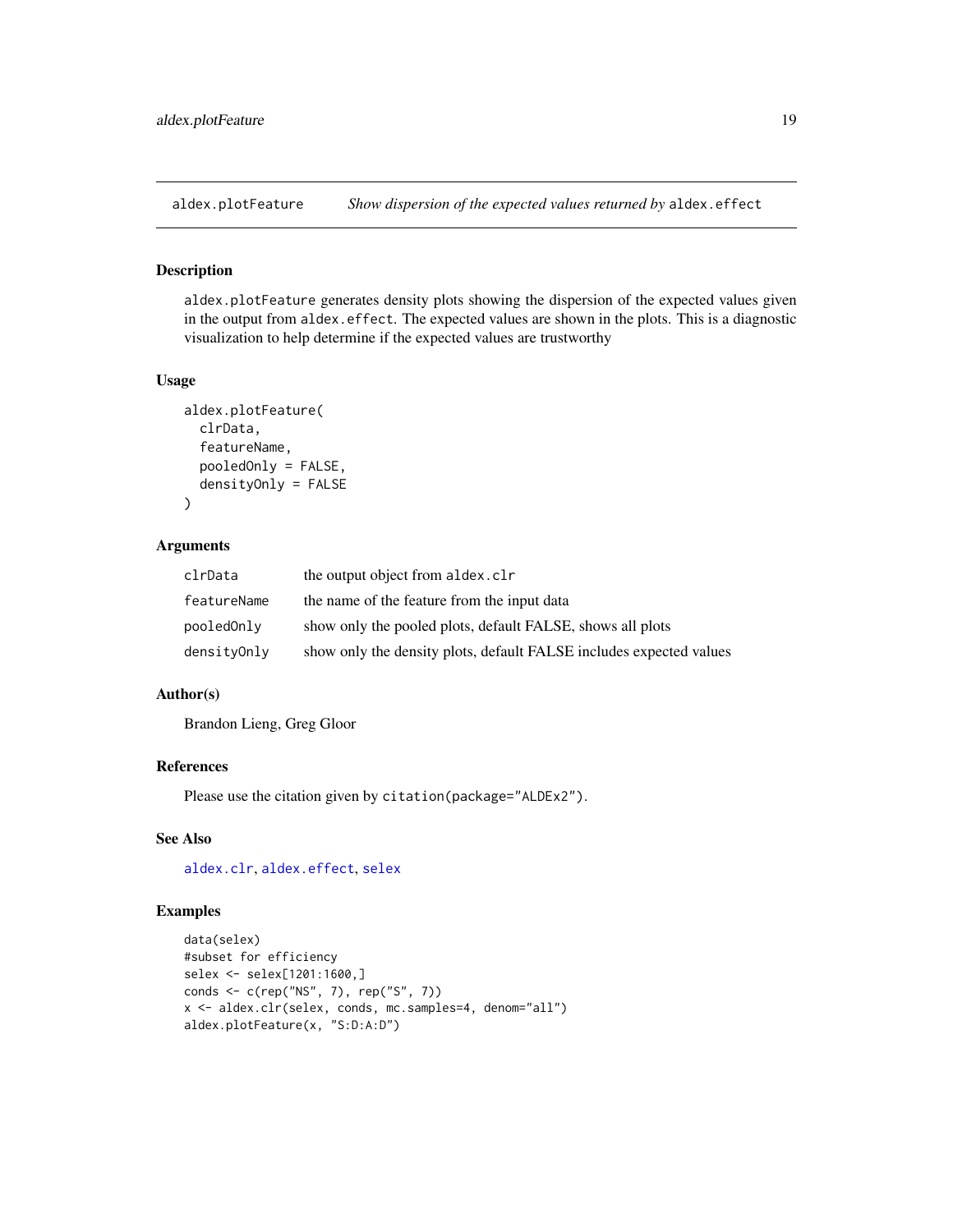<span id="page-18-0"></span>

#### Description

aldex.plotFeature generates density plots showing the dispersion of the expected values given in the output from aldex.effect. The expected values are shown in the plots. This is a diagnostic visualization to help determine if the expected values are trustworthy

## Usage

```
aldex.plotFeature(
  clrData,
  featureName,
  pooledOnly = FALSE,
  densityOnly = FALSE
)
```
#### Arguments

| clrData     | the output object from aldex.clr                                    |
|-------------|---------------------------------------------------------------------|
| featureName | the name of the feature from the input data                         |
| pooledOnly  | show only the pooled plots, default FALSE, shows all plots          |
| densityOnly | show only the density plots, default FALSE includes expected values |

## Author(s)

Brandon Lieng, Greg Gloor

## References

Please use the citation given by citation(package="ALDEx2").

## See Also

[aldex.clr](#page-4-1), [aldex.effect](#page-10-1), [selex](#page-34-1)

```
data(selex)
#subset for efficiency
selex <- selex[1201:1600,]
conds <- c(rep("NS", 7), rep("S", 7))
x <- aldex.clr(selex, conds, mc.samples=4, denom="all")
aldex.plotFeature(x, "S:D:A:D")
```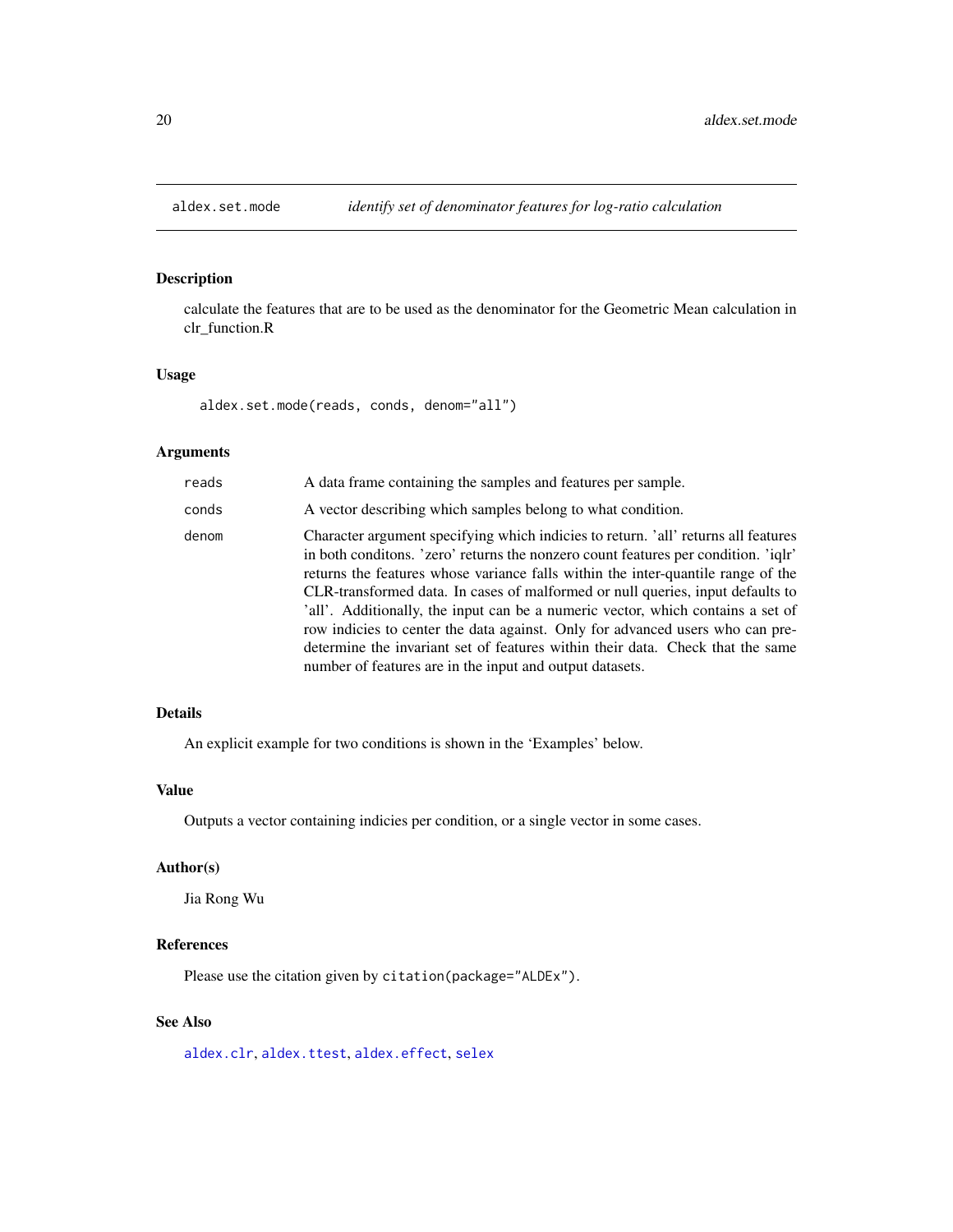<span id="page-19-0"></span>

## Description

calculate the features that are to be used as the denominator for the Geometric Mean calculation in clr\_function.R

#### Usage

aldex.set.mode(reads, conds, denom="all")

## Arguments

| reads | A data frame containing the samples and features per sample.                                                                                                                                                                                                                                                                                                                                                                                                                                                                                                                                                                                                      |
|-------|-------------------------------------------------------------------------------------------------------------------------------------------------------------------------------------------------------------------------------------------------------------------------------------------------------------------------------------------------------------------------------------------------------------------------------------------------------------------------------------------------------------------------------------------------------------------------------------------------------------------------------------------------------------------|
| conds | A vector describing which samples belong to what condition.                                                                                                                                                                                                                                                                                                                                                                                                                                                                                                                                                                                                       |
| denom | Character argument specifying which indicies to return. 'all' returns all features<br>in both conditions. 'zero' returns the nonzero count features per condition. 'iglr'<br>returns the features whose variance falls within the inter-quantile range of the<br>CLR-transformed data. In cases of malformed or null queries, input defaults to<br>'all'. Additionally, the input can be a numeric vector, which contains a set of<br>row indicies to center the data against. Only for advanced users who can pre-<br>determine the invariant set of features within their data. Check that the same<br>number of features are in the input and output datasets. |

#### Details

An explicit example for two conditions is shown in the 'Examples' below.

## Value

Outputs a vector containing indicies per condition, or a single vector in some cases.

## Author(s)

Jia Rong Wu

### References

Please use the citation given by citation(package="ALDEx").

## See Also

[aldex.clr](#page-4-1), [aldex.ttest](#page-20-1), [aldex.effect](#page-10-1), [selex](#page-34-1)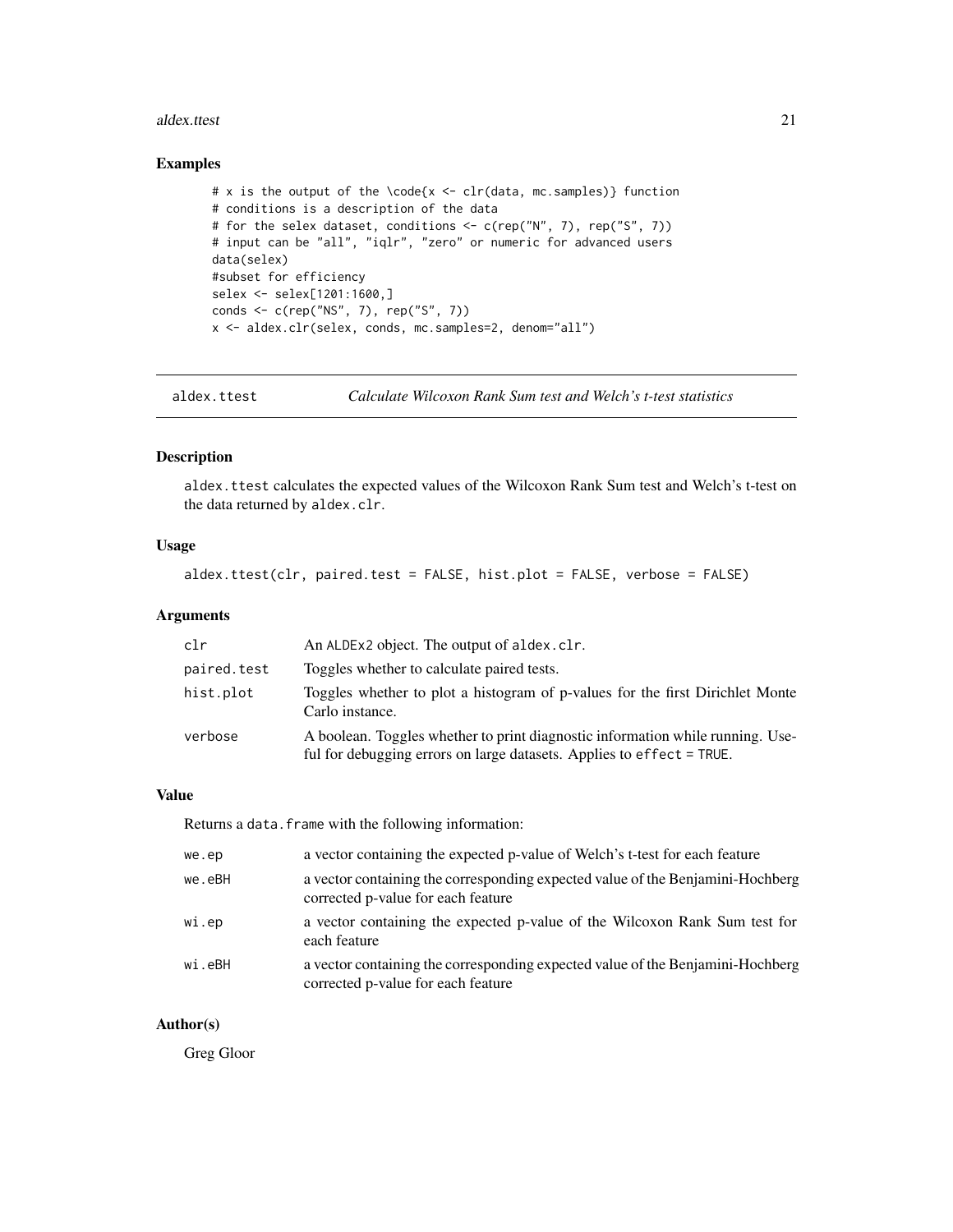#### <span id="page-20-0"></span>aldex.ttest 21

#### Examples

```
# x is the output of the \code{x <- clr(data, mc.samples)} function
# conditions is a description of the data
# for the selex dataset, conditions <- c(rep("N", 7), rep("S", 7))
# input can be "all", "iqlr", "zero" or numeric for advanced users
data(selex)
#subset for efficiency
selex <- selex[1201:1600,]
conds <- c(rep("NS", 7), rep("S", 7))
x <- aldex.clr(selex, conds, mc.samples=2, denom="all")
```
<span id="page-20-1"></span>aldex.ttest *Calculate Wilcoxon Rank Sum test and Welch's t-test statistics*

#### Description

aldex.ttest calculates the expected values of the Wilcoxon Rank Sum test and Welch's t-test on the data returned by aldex.clr.

## Usage

```
aldex.ttest(clr, paired.test = FALSE, hist.plot = FALSE, verbose = FALSE)
```
## Arguments

| clr         | An ALDEx2 object. The output of aldex.clr.                                                                                                              |
|-------------|---------------------------------------------------------------------------------------------------------------------------------------------------------|
| paired.test | Toggles whether to calculate paired tests.                                                                                                              |
| hist.plot   | Toggles whether to plot a histogram of p-values for the first Dirichlet Monte<br>Carlo instance.                                                        |
| verbose     | A boolean. Toggles whether to print diagnostic information while running. Use-<br>ful for debugging errors on large datasets. Applies to effect = TRUE. |

## Value

Returns a data. frame with the following information:

| we.ep  | a vector containing the expected p-value of Welch's t-test for each feature                                          |
|--------|----------------------------------------------------------------------------------------------------------------------|
| we.eBH | a vector containing the corresponding expected value of the Benjamini-Hochberg<br>corrected p-value for each feature |
| wi.ep  | a vector containing the expected p-value of the Wilcoxon Rank Sum test for<br>each feature                           |
| wi.eBH | a vector containing the corresponding expected value of the Benjamini-Hochberg<br>corrected p-value for each feature |

#### Author(s)

Greg Gloor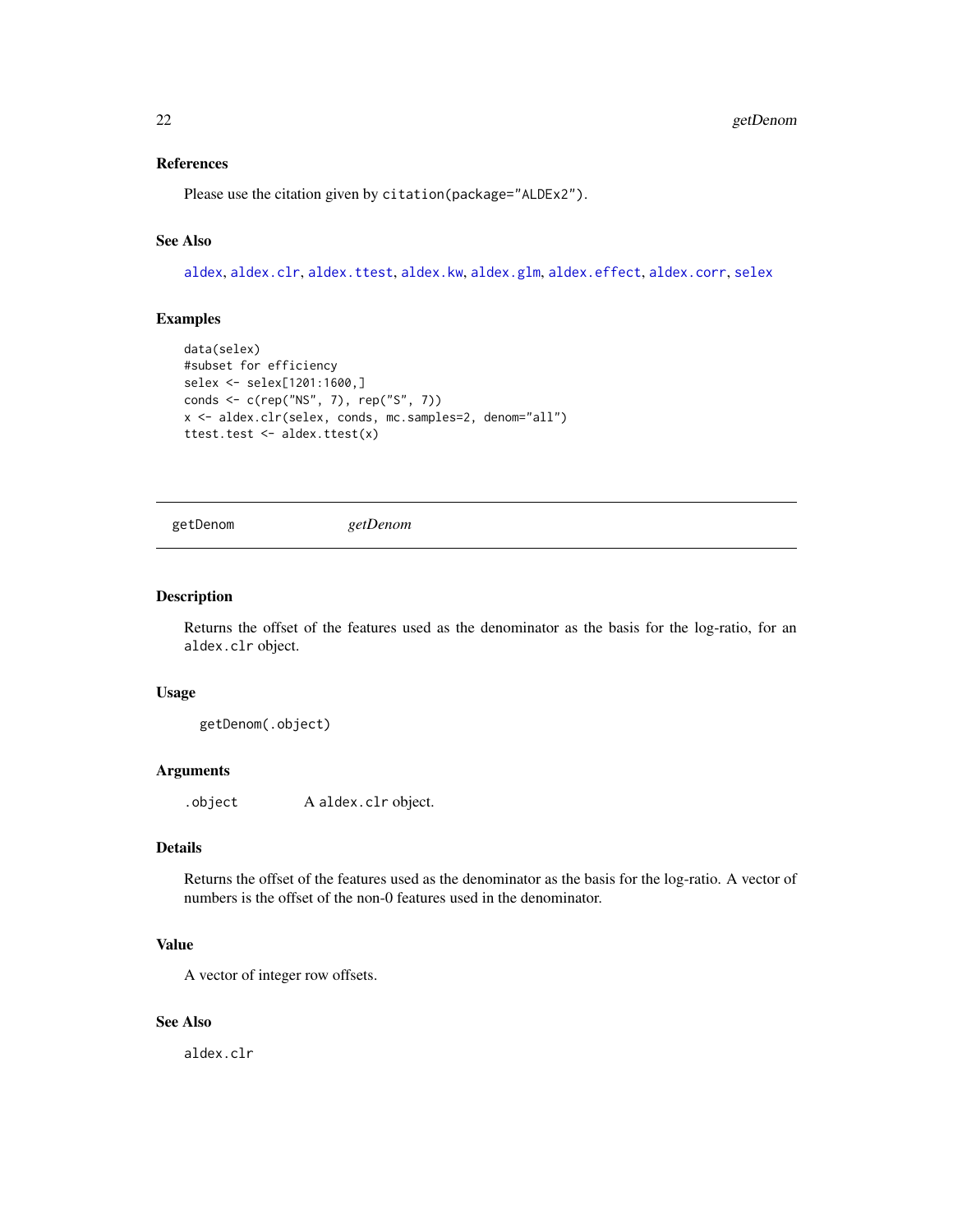## <span id="page-21-0"></span>References

Please use the citation given by citation(package="ALDEx2").

## See Also

[aldex](#page-2-1), [aldex.clr](#page-4-1), [aldex.ttest](#page-20-1), [aldex.kw](#page-15-1), [aldex.glm](#page-12-1), [aldex.effect](#page-10-1), [aldex.corr](#page-9-1), [selex](#page-34-1)

#### Examples

```
data(selex)
#subset for efficiency
selex <- selex[1201:1600,]
conds <- c(rep("NS", 7), rep("S", 7))
x <- aldex.clr(selex, conds, mc.samples=2, denom="all")
ttest.test <- aldex.ttest(x)
```
getDenom *getDenom*

## Description

Returns the offset of the features used as the denominator as the basis for the log-ratio, for an aldex.clr object.

## Usage

getDenom(.object)

#### Arguments

.object A aldex.clr object.

## Details

Returns the offset of the features used as the denominator as the basis for the log-ratio. A vector of numbers is the offset of the non-0 features used in the denominator.

#### Value

A vector of integer row offsets.

## See Also

aldex.clr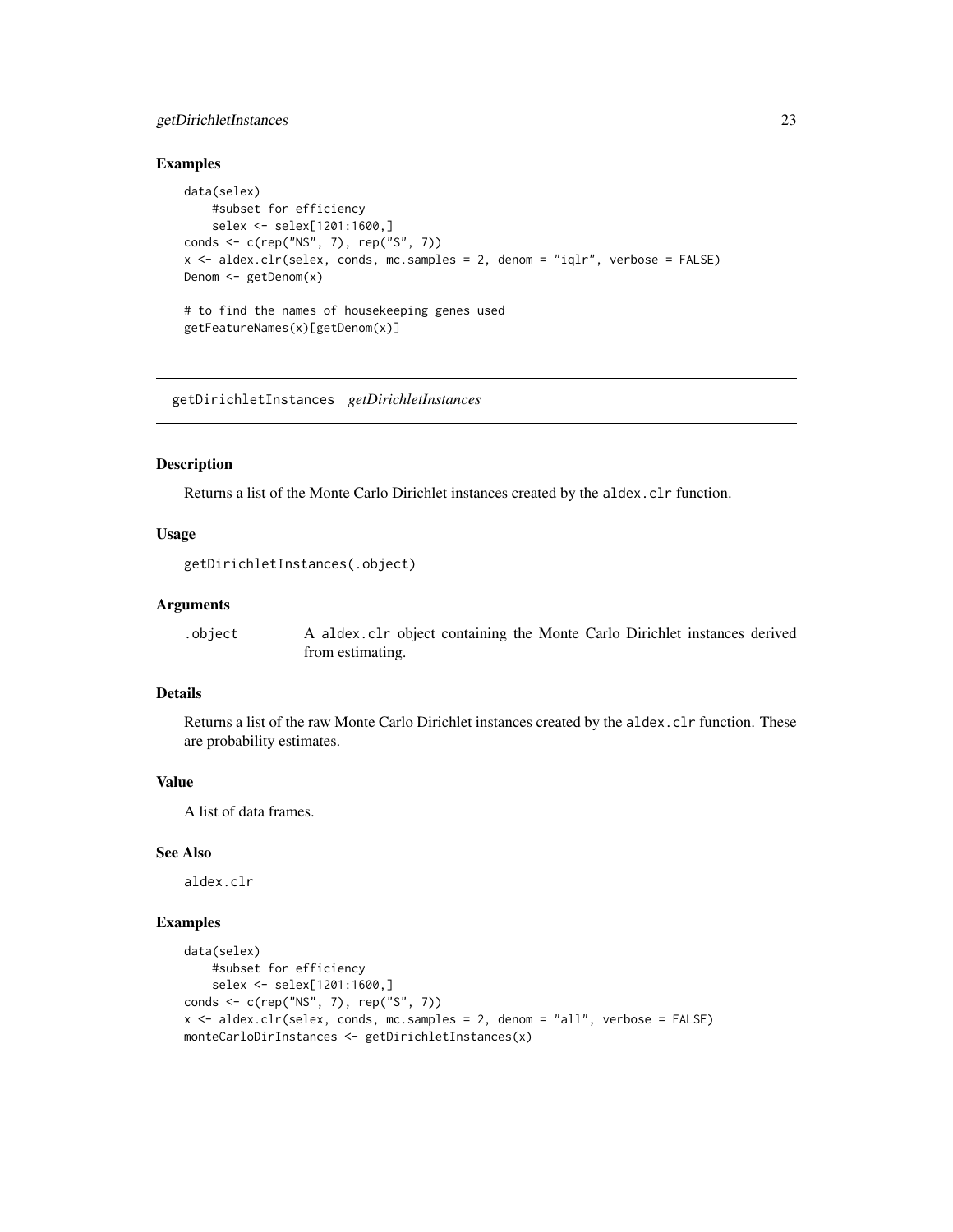## <span id="page-22-0"></span>getDirichletInstances 23

#### Examples

```
data(selex)
   #subset for efficiency
    selex <- selex[1201:1600,]
conds <- c(rep("NS", 7), rep("S", 7))
x <- aldex.clr(selex, conds, mc.samples = 2, denom = "iqlr", verbose = FALSE)
Denom <- getDenom(x)
# to find the names of housekeeping genes used
getFeatureNames(x)[getDenom(x)]
```
getDirichletInstances *getDirichletInstances*

#### Description

Returns a list of the Monte Carlo Dirichlet instances created by the aldex.clr function.

#### Usage

```
getDirichletInstances(.object)
```
#### Arguments

.object A aldex.clr object containing the Monte Carlo Dirichlet instances derived from estimating.

## Details

Returns a list of the raw Monte Carlo Dirichlet instances created by the aldex.clr function. These are probability estimates.

## Value

A list of data frames.

## See Also

aldex.clr

```
data(selex)
   #subset for efficiency
   selex <- selex[1201:1600,]
conds <- c(rep("NS", 7), rep("S", 7))
x <- aldex.clr(selex, conds, mc.samples = 2, denom = "all", verbose = FALSE)
monteCarloDirInstances <- getDirichletInstances(x)
```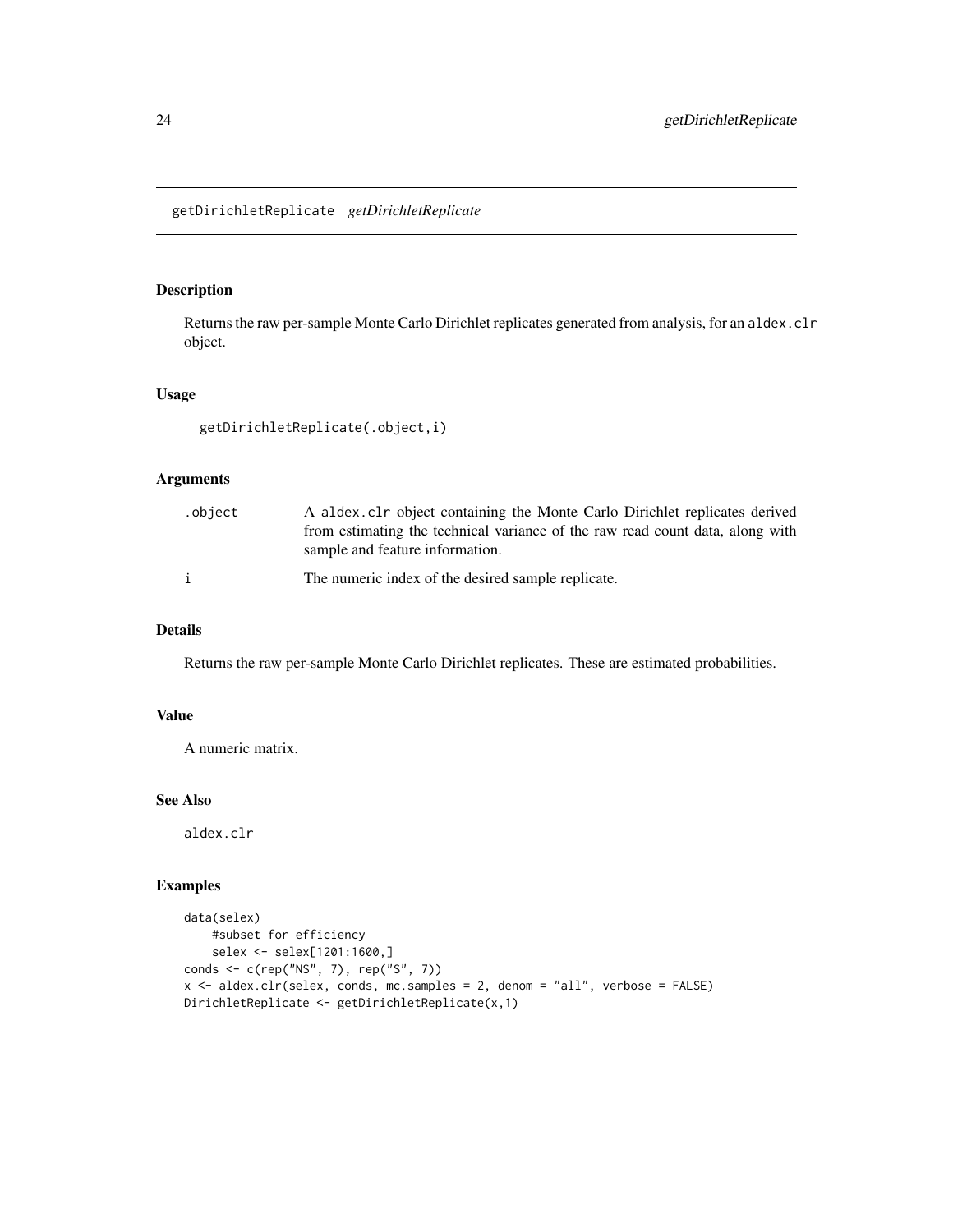## <span id="page-23-0"></span>Description

Returns the raw per-sample Monte Carlo Dirichlet replicates generated from analysis, for an aldex.clr object.

#### Usage

```
getDirichletReplicate(.object,i)
```
## Arguments

| .object | A aldex clr object containing the Monte Carlo Dirichlet replicates derived<br>from estimating the technical variance of the raw read count data, along with<br>sample and feature information. |
|---------|------------------------------------------------------------------------------------------------------------------------------------------------------------------------------------------------|
|         | The numeric index of the desired sample replicate.                                                                                                                                             |

## Details

Returns the raw per-sample Monte Carlo Dirichlet replicates. These are estimated probabilities.

## Value

A numeric matrix.

## See Also

aldex.clr

```
data(selex)
   #subset for efficiency
   selex <- selex[1201:1600,]
conds <- c(rep("NS", 7), rep("S", 7))
x <- aldex.clr(selex, conds, mc.samples = 2, denom = "all", verbose = FALSE)
DirichletReplicate <- getDirichletReplicate(x,1)
```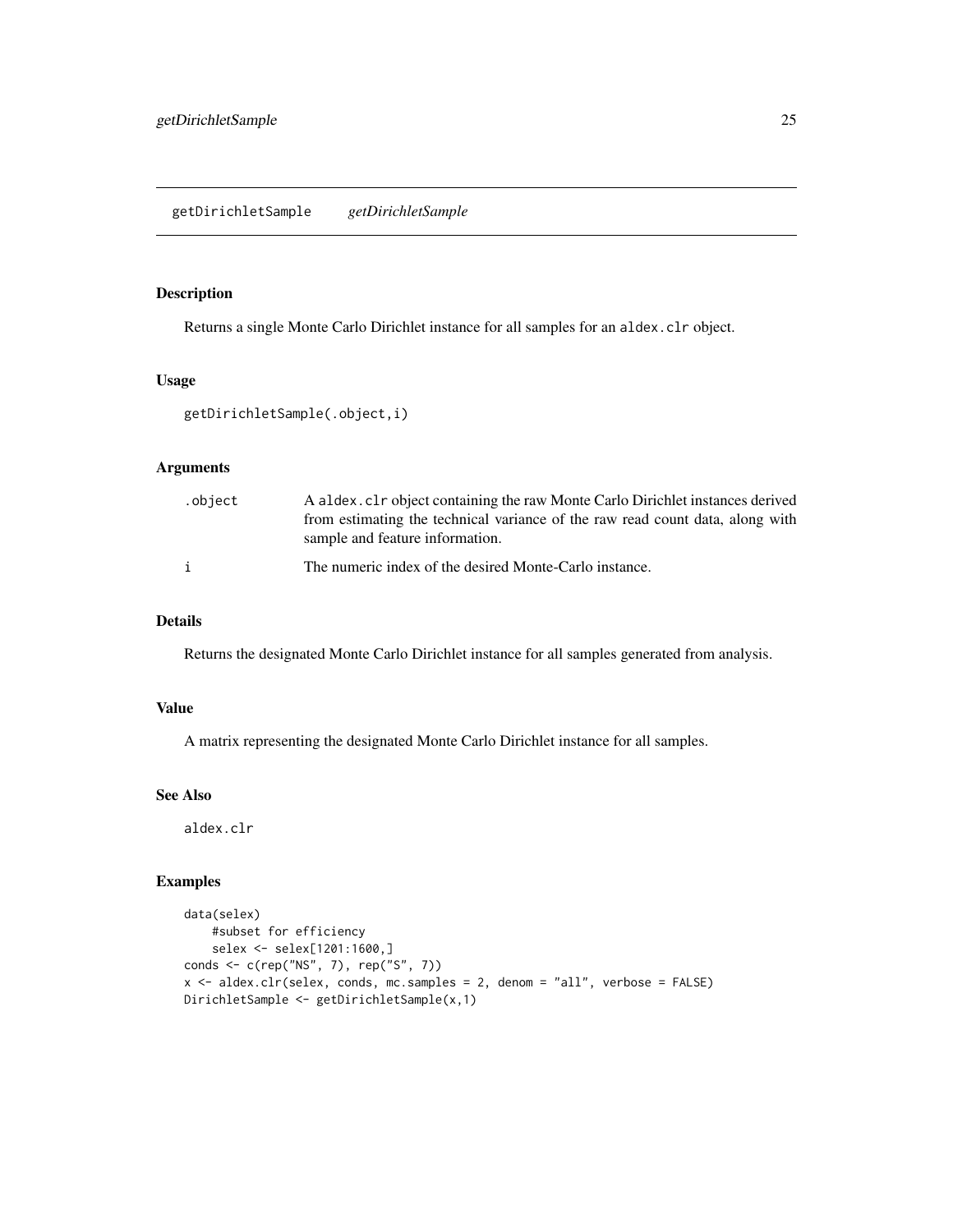#### <span id="page-24-0"></span>getDirichletSample *getDirichletSample*

## Description

Returns a single Monte Carlo Dirichlet instance for all samples for an aldex.clr object.

## Usage

```
getDirichletSample(.object,i)
```
## Arguments

| .object | A aldex. cl r object containing the raw Monte Carlo Dirichlet instances derived |
|---------|---------------------------------------------------------------------------------|
|         | from estimating the technical variance of the raw read count data, along with   |
|         | sample and feature information.                                                 |
|         | The numeric index of the desired Monte-Carlo instance.                          |

## Details

Returns the designated Monte Carlo Dirichlet instance for all samples generated from analysis.

#### Value

A matrix representing the designated Monte Carlo Dirichlet instance for all samples.

## See Also

aldex.clr

```
data(selex)
   #subset for efficiency
   selex <- selex[1201:1600,]
conds <- c(rep("NS", 7), rep("S", 7))
x <- aldex.clr(selex, conds, mc.samples = 2, denom = "all", verbose = FALSE)
DirichletSample <- getDirichletSample(x,1)
```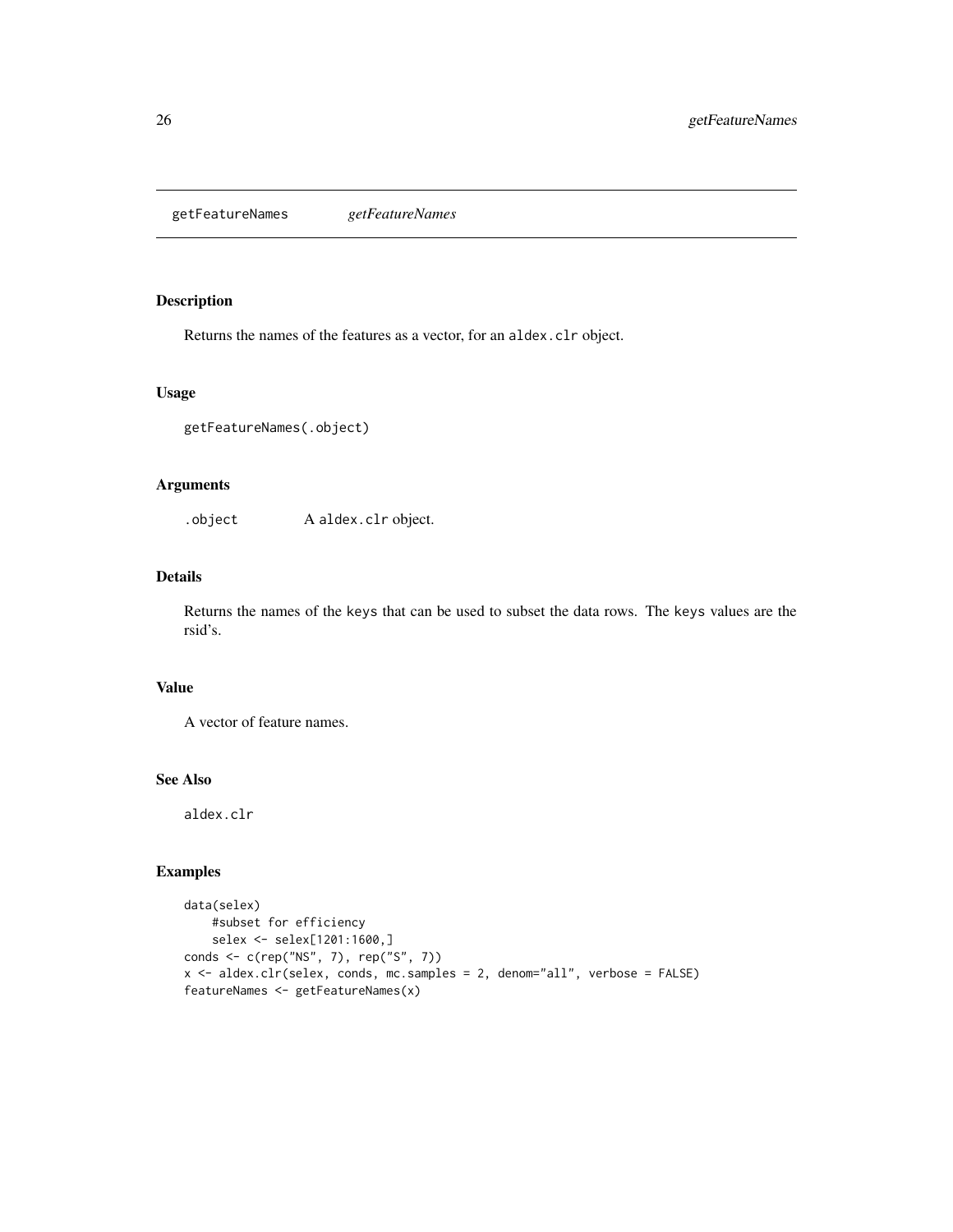<span id="page-25-0"></span>getFeatureNames *getFeatureNames*

## Description

Returns the names of the features as a vector, for an aldex.clr object.

## Usage

```
getFeatureNames(.object)
```
#### Arguments

.object A aldex.clr object.

## Details

Returns the names of the keys that can be used to subset the data rows. The keys values are the rsid's.

## Value

A vector of feature names.

## See Also

aldex.clr

```
data(selex)
   #subset for efficiency
   selex <- selex[1201:1600,]
conds <- c(rep("NS", 7), rep("S", 7))
x <- aldex.clr(selex, conds, mc.samples = 2, denom="all", verbose = FALSE)
featureNames <- getFeatureNames(x)
```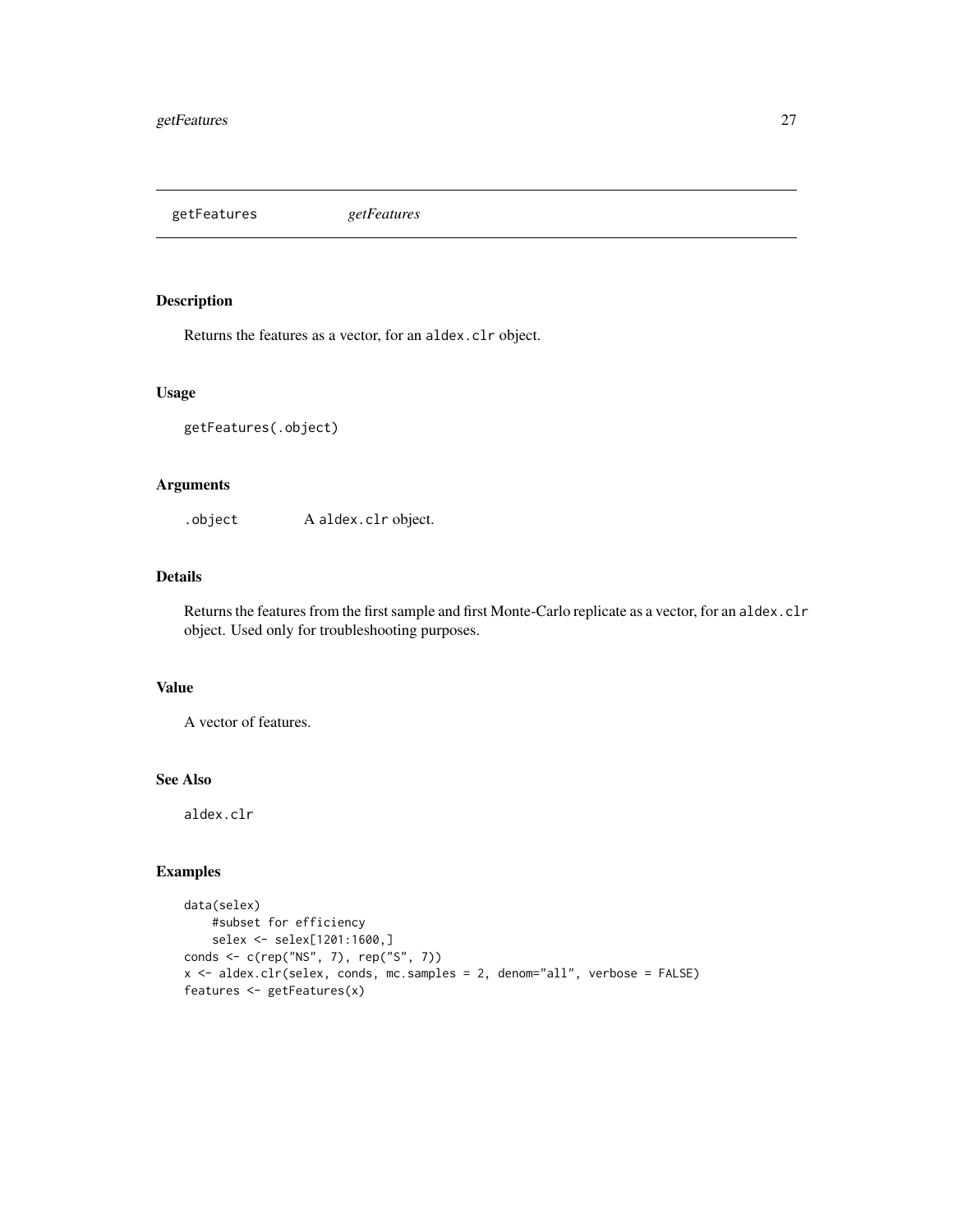<span id="page-26-0"></span>getFeatures *getFeatures*

## Description

Returns the features as a vector, for an aldex.clr object.

#### Usage

```
getFeatures(.object)
```
## Arguments

.object A aldex.clr object.

## Details

Returns the features from the first sample and first Monte-Carlo replicate as a vector, for an aldex.clr object. Used only for troubleshooting purposes.

## Value

A vector of features.

## See Also

aldex.clr

```
data(selex)
   #subset for efficiency
   selex <- selex[1201:1600,]
conds <- c(rep("NS", 7), rep("S", 7))
x <- aldex.clr(selex, conds, mc.samples = 2, denom="all", verbose = FALSE)
features <- getFeatures(x)
```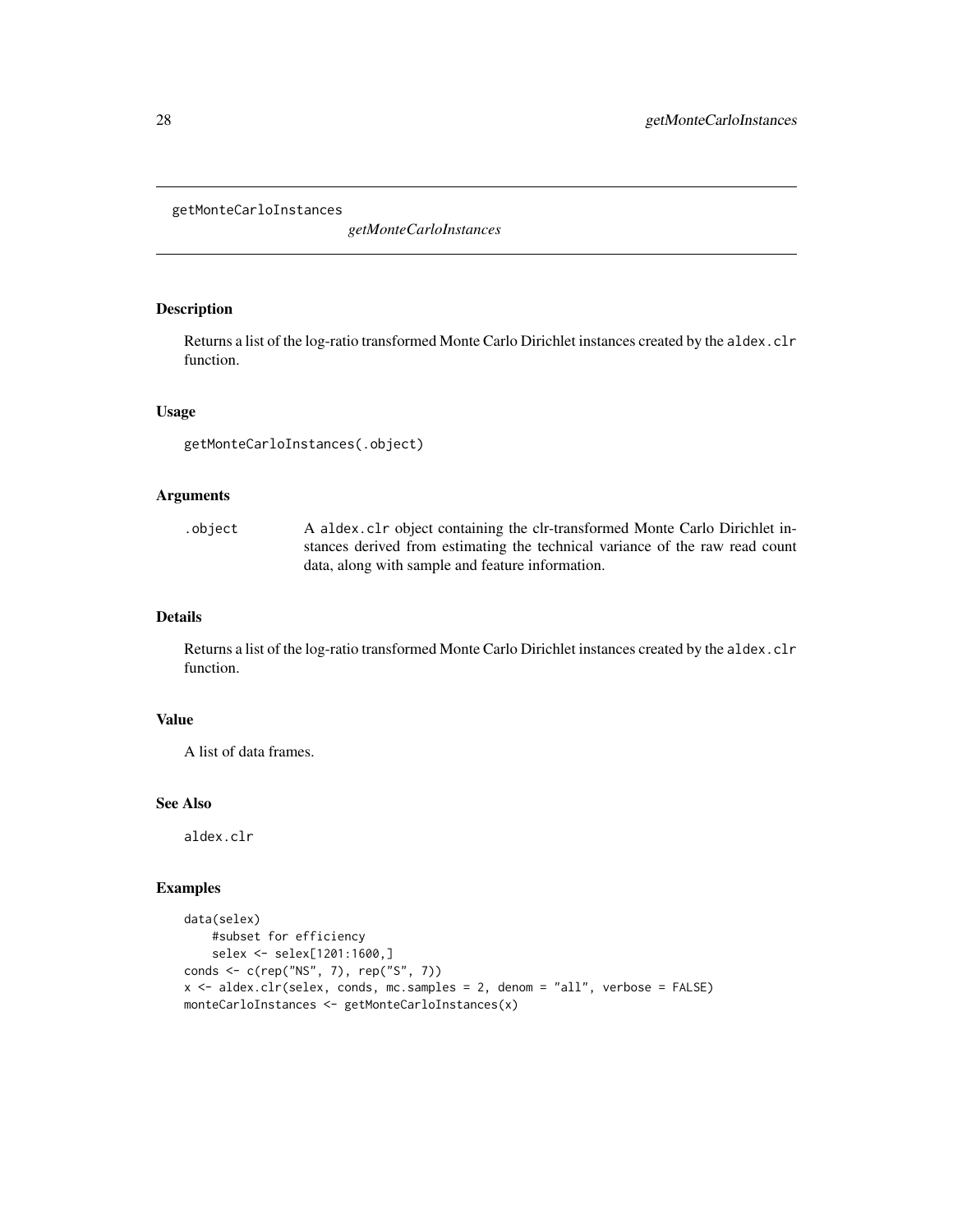#### <span id="page-27-0"></span>getMonteCarloInstances

*getMonteCarloInstances*

## Description

Returns a list of the log-ratio transformed Monte Carlo Dirichlet instances created by the aldex.clr function.

## Usage

```
getMonteCarloInstances(.object)
```
## Arguments

| .object | A aldex.clr object containing the clr-transformed Monte Carlo Dirichlet in-  |
|---------|------------------------------------------------------------------------------|
|         | stances derived from estimating the technical variance of the raw read count |
|         | data, along with sample and feature information.                             |

#### Details

Returns a list of the log-ratio transformed Monte Carlo Dirichlet instances created by the aldex.clr function.

## Value

A list of data frames.

#### See Also

aldex.clr

```
data(selex)
   #subset for efficiency
   selex <- selex[1201:1600,]
conds <- c(rep("NS", 7), rep("S", 7))
x <- aldex.clr(selex, conds, mc.samples = 2, denom = "all", verbose = FALSE)
monteCarloInstances <- getMonteCarloInstances(x)
```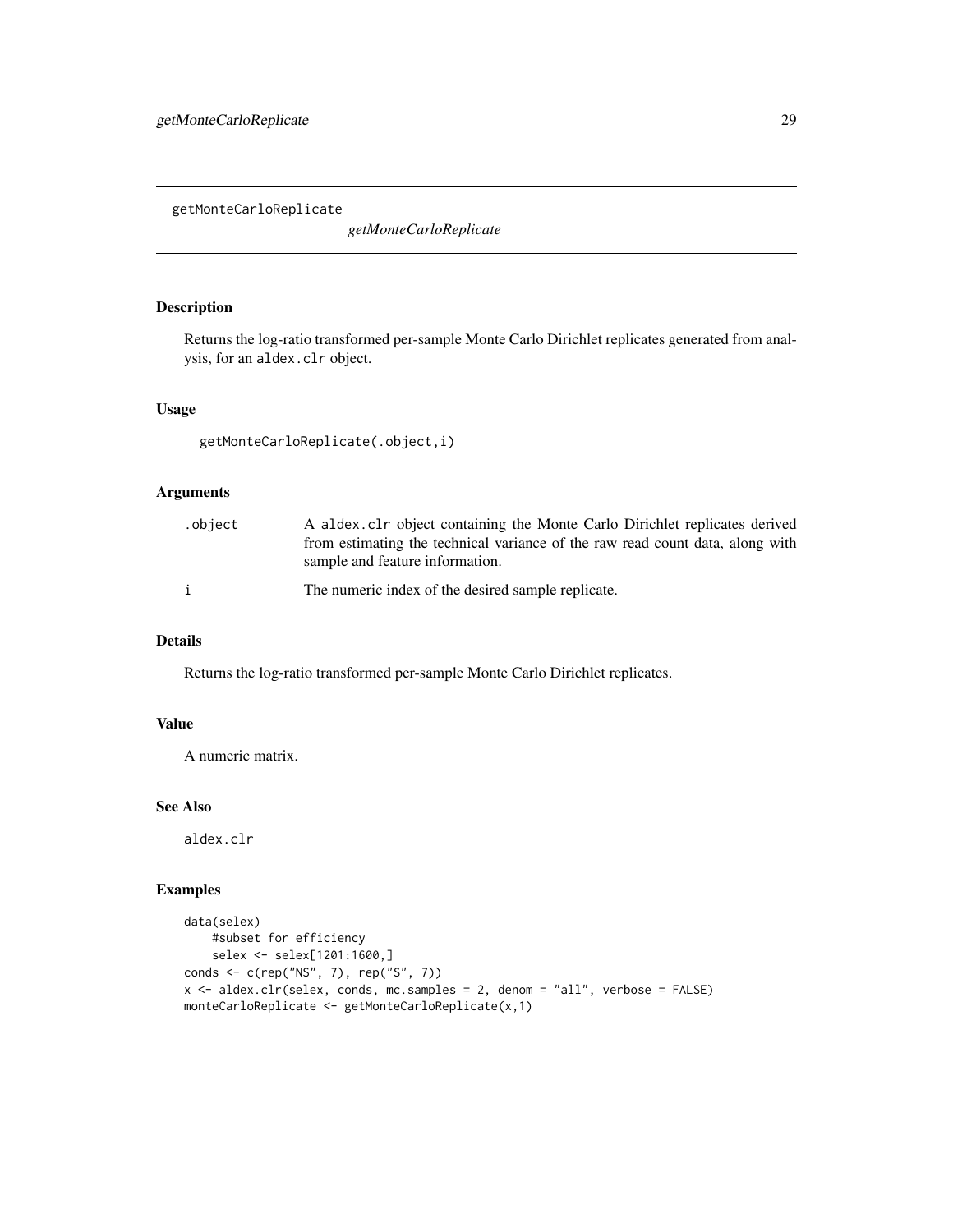<span id="page-28-0"></span>getMonteCarloReplicate

*getMonteCarloReplicate*

## Description

Returns the log-ratio transformed per-sample Monte Carlo Dirichlet replicates generated from analysis, for an aldex.clr object.

## Usage

getMonteCarloReplicate(.object,i)

#### Arguments

| .object | A aldex.clr object containing the Monte Carlo Dirichlet replicates derived<br>from estimating the technical variance of the raw read count data, along with<br>sample and feature information. |
|---------|------------------------------------------------------------------------------------------------------------------------------------------------------------------------------------------------|
|         | The numeric index of the desired sample replicate.                                                                                                                                             |

## Details

Returns the log-ratio transformed per-sample Monte Carlo Dirichlet replicates.

## Value

A numeric matrix.

## See Also

aldex.clr

```
data(selex)
   #subset for efficiency
   selex <- selex[1201:1600,]
conds <- c(rep("NS", 7), rep("S", 7))
x <- aldex.clr(selex, conds, mc.samples = 2, denom = "all", verbose = FALSE)
monteCarloReplicate <- getMonteCarloReplicate(x,1)
```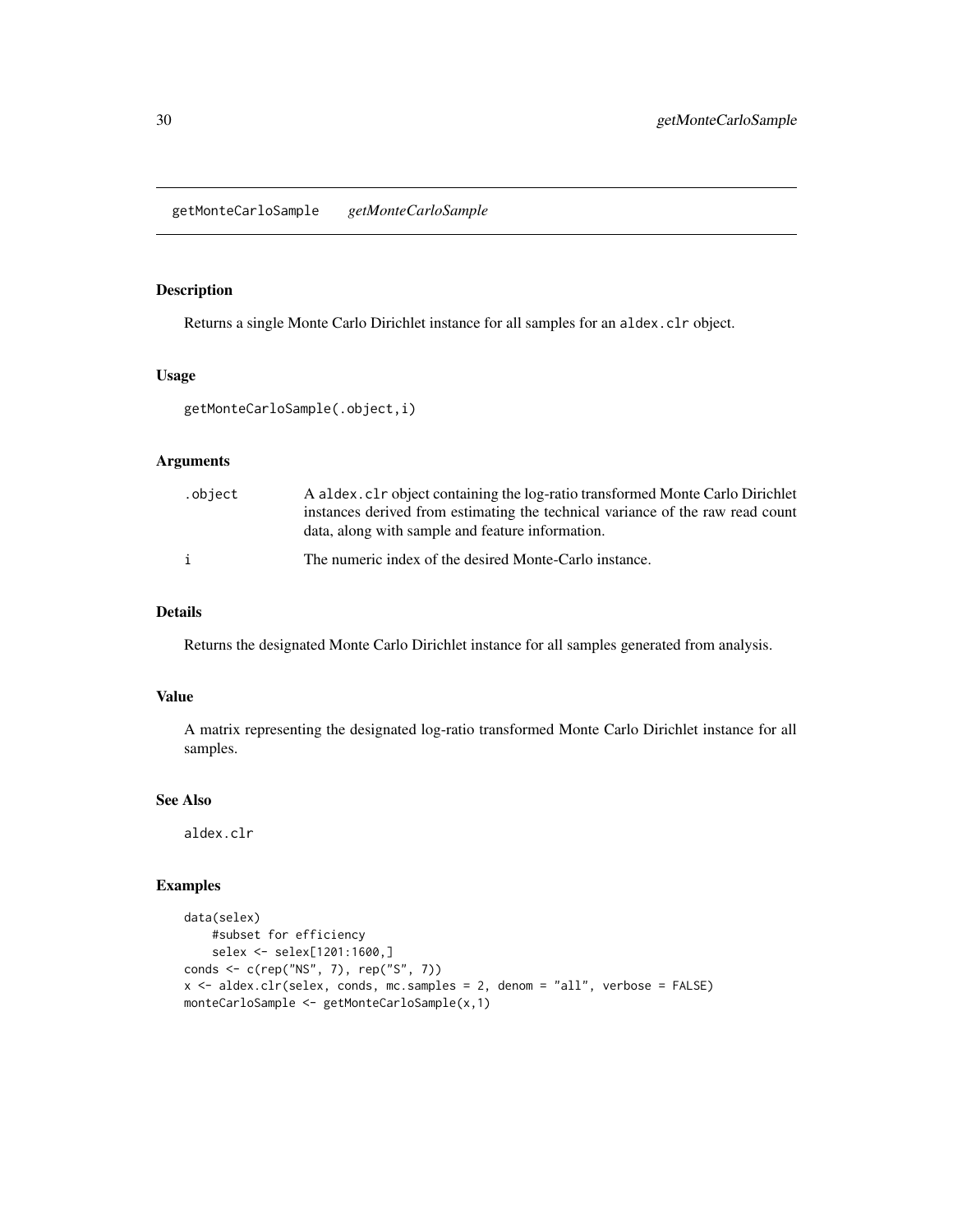## <span id="page-29-0"></span>Description

Returns a single Monte Carlo Dirichlet instance for all samples for an aldex.clr object.

## Usage

```
getMonteCarloSample(.object,i)
```
## Arguments

| .object | A aldex. cl r object containing the log-ratio transformed Monte Carlo Dirichlet |
|---------|---------------------------------------------------------------------------------|
|         | instances derived from estimating the technical variance of the raw read count  |
|         | data, along with sample and feature information.                                |
|         | The numeric index of the desired Monte-Carlo instance.                          |

#### Details

Returns the designated Monte Carlo Dirichlet instance for all samples generated from analysis.

## Value

A matrix representing the designated log-ratio transformed Monte Carlo Dirichlet instance for all samples.

#### See Also

aldex.clr

```
data(selex)
   #subset for efficiency
   selex <- selex[1201:1600,]
conds <- c(rep("NS", 7), rep("S", 7))
x <- aldex.clr(selex, conds, mc.samples = 2, denom = "all", verbose = FALSE)
monteCarloSample <- getMonteCarloSample(x,1)
```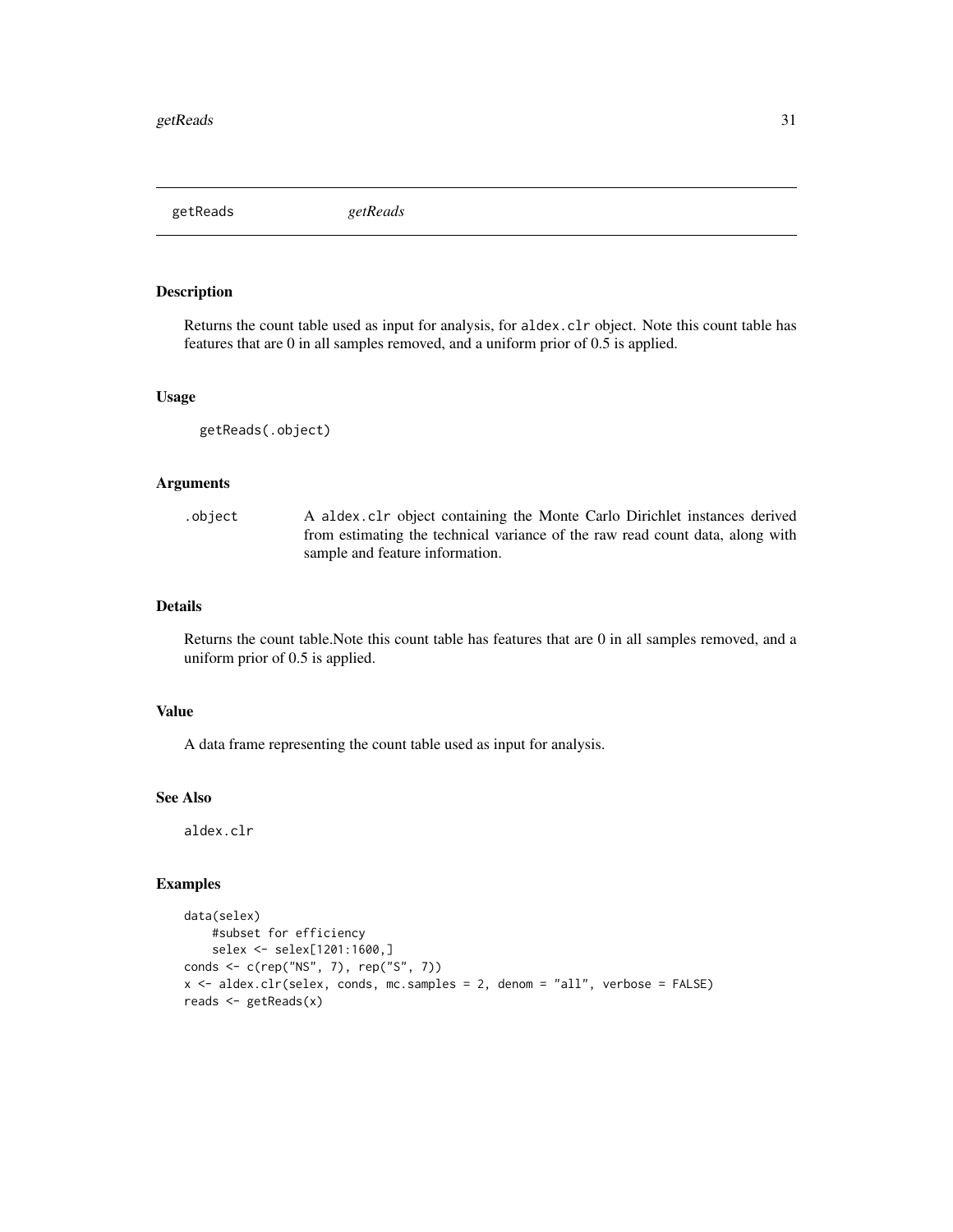<span id="page-30-0"></span>getReads *getReads*

## Description

Returns the count table used as input for analysis, for aldex.clr object. Note this count table has features that are 0 in all samples removed, and a uniform prior of 0.5 is applied.

#### Usage

```
getReads(.object)
```
#### Arguments

.object A aldex.clr object containing the Monte Carlo Dirichlet instances derived from estimating the technical variance of the raw read count data, along with sample and feature information.

## Details

Returns the count table.Note this count table has features that are 0 in all samples removed, and a uniform prior of 0.5 is applied.

## Value

A data frame representing the count table used as input for analysis.

#### See Also

aldex.clr

```
data(selex)
   #subset for efficiency
    selex <- selex[1201:1600,]
conds <- c(rep("NS", 7), rep("S", 7))
x <- aldex.clr(selex, conds, mc.samples = 2, denom = "all", verbose = FALSE)
reads <- getReads(x)
```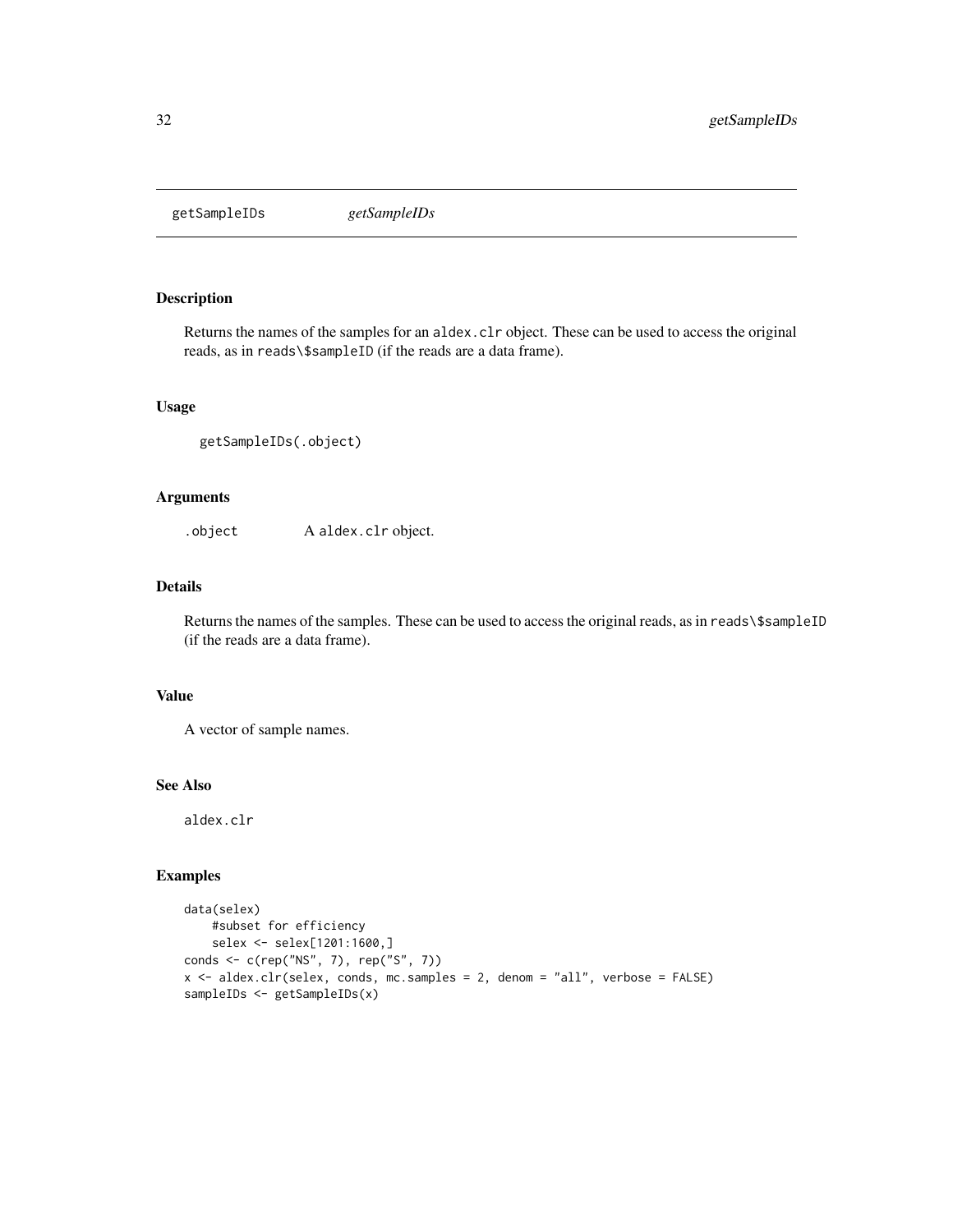<span id="page-31-0"></span>getSampleIDs *getSampleIDs*

## Description

Returns the names of the samples for an aldex.clr object. These can be used to access the original reads, as in reads\\$sampleID (if the reads are a data frame).

#### Usage

```
getSampleIDs(.object)
```
## Arguments

.object A aldex.clr object.

## Details

Returns the names of the samples. These can be used to access the original reads, as in reads\\$sampleID (if the reads are a data frame).

## Value

A vector of sample names.

## See Also

aldex.clr

```
data(selex)
   #subset for efficiency
    selex <- selex[1201:1600,]
conds <- c(rep("NS", 7), rep("S", 7))
x <- aldex.clr(selex, conds, mc.samples = 2, denom = "all", verbose = FALSE)
sampleIDs <- getSampleIDs(x)
```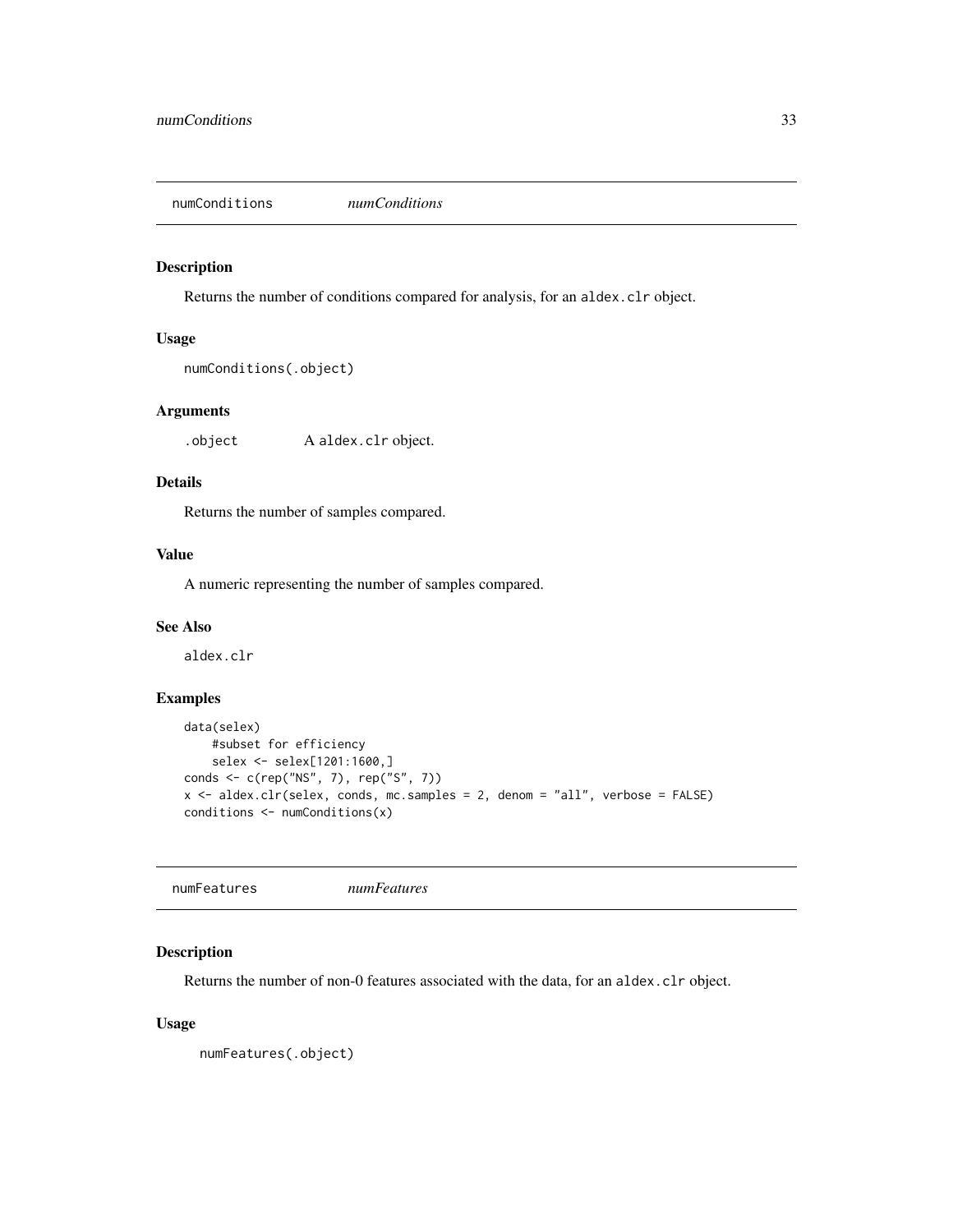<span id="page-32-0"></span>numConditions *numConditions*

## Description

Returns the number of conditions compared for analysis, for an aldex.clr object.

#### Usage

```
numConditions(.object)
```
## Arguments

.object A aldex.clr object.

## Details

Returns the number of samples compared.

## Value

A numeric representing the number of samples compared.

## See Also

aldex.clr

## Examples

```
data(selex)
   #subset for efficiency
   selex <- selex[1201:1600,]
conds <- c(rep("NS", 7), rep("S", 7))
x <- aldex.clr(selex, conds, mc.samples = 2, denom = "all", verbose = FALSE)
conditions <- numConditions(x)
```
numFeatures *numFeatures*

## Description

Returns the number of non-0 features associated with the data, for an aldex.clr object.

## Usage

numFeatures(.object)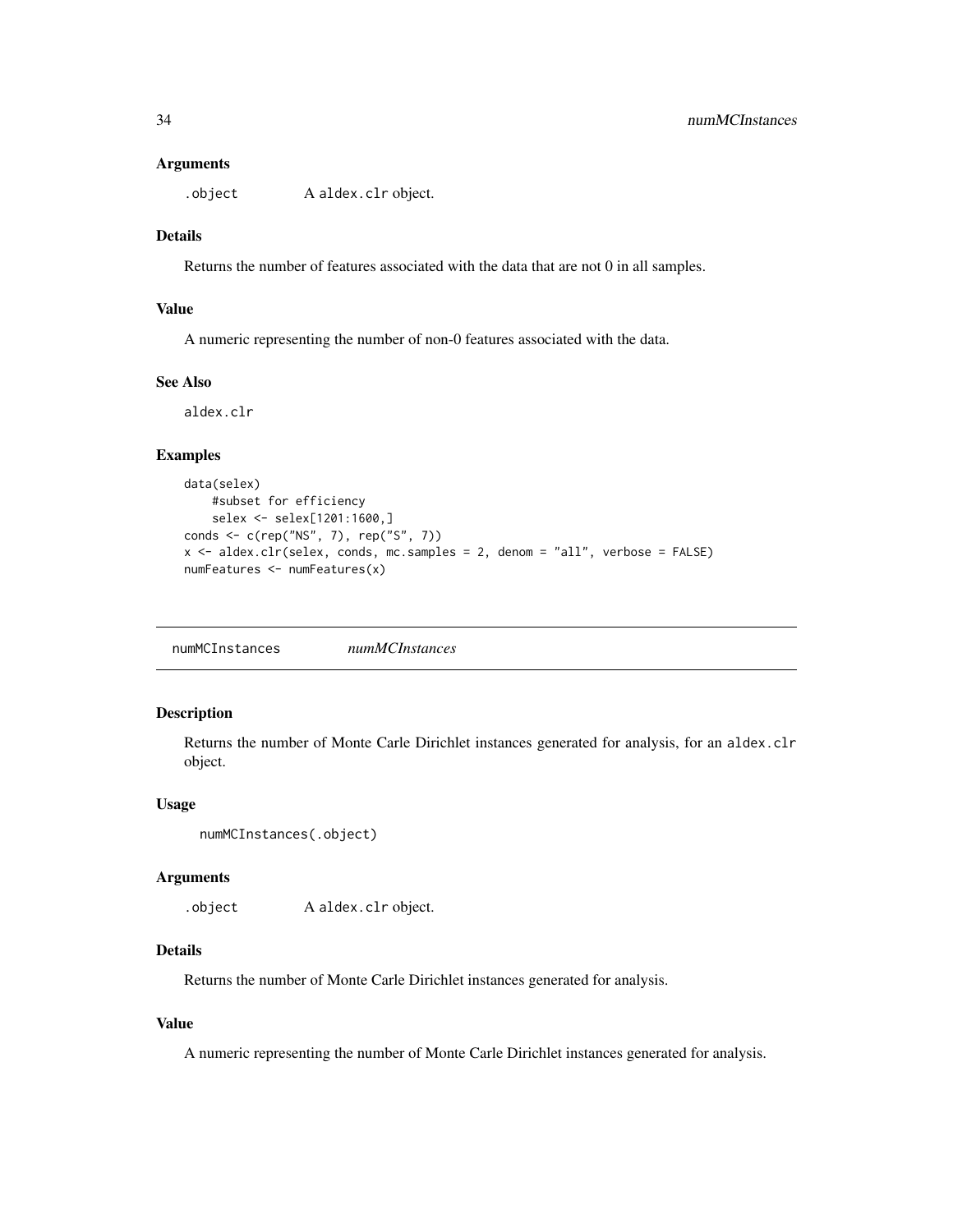#### <span id="page-33-0"></span>**Arguments**

.object A aldex.clr object.

## Details

Returns the number of features associated with the data that are not 0 in all samples.

## Value

A numeric representing the number of non-0 features associated with the data.

#### See Also

aldex.clr

## Examples

```
data(selex)
    #subset for efficiency
    selex <- selex[1201:1600,]
conds <- c(rep("NS", 7), rep("S", 7))
x <- aldex.clr(selex, conds, mc.samples = 2, denom = "all", verbose = FALSE)
numFeatures <- numFeatures(x)
```
numMCInstances *numMCInstances*

## Description

Returns the number of Monte Carle Dirichlet instances generated for analysis, for an aldex.clr object.

#### Usage

```
numMCInstances(.object)
```
#### Arguments

.object A aldex.clr object.

## Details

Returns the number of Monte Carle Dirichlet instances generated for analysis.

## Value

A numeric representing the number of Monte Carle Dirichlet instances generated for analysis.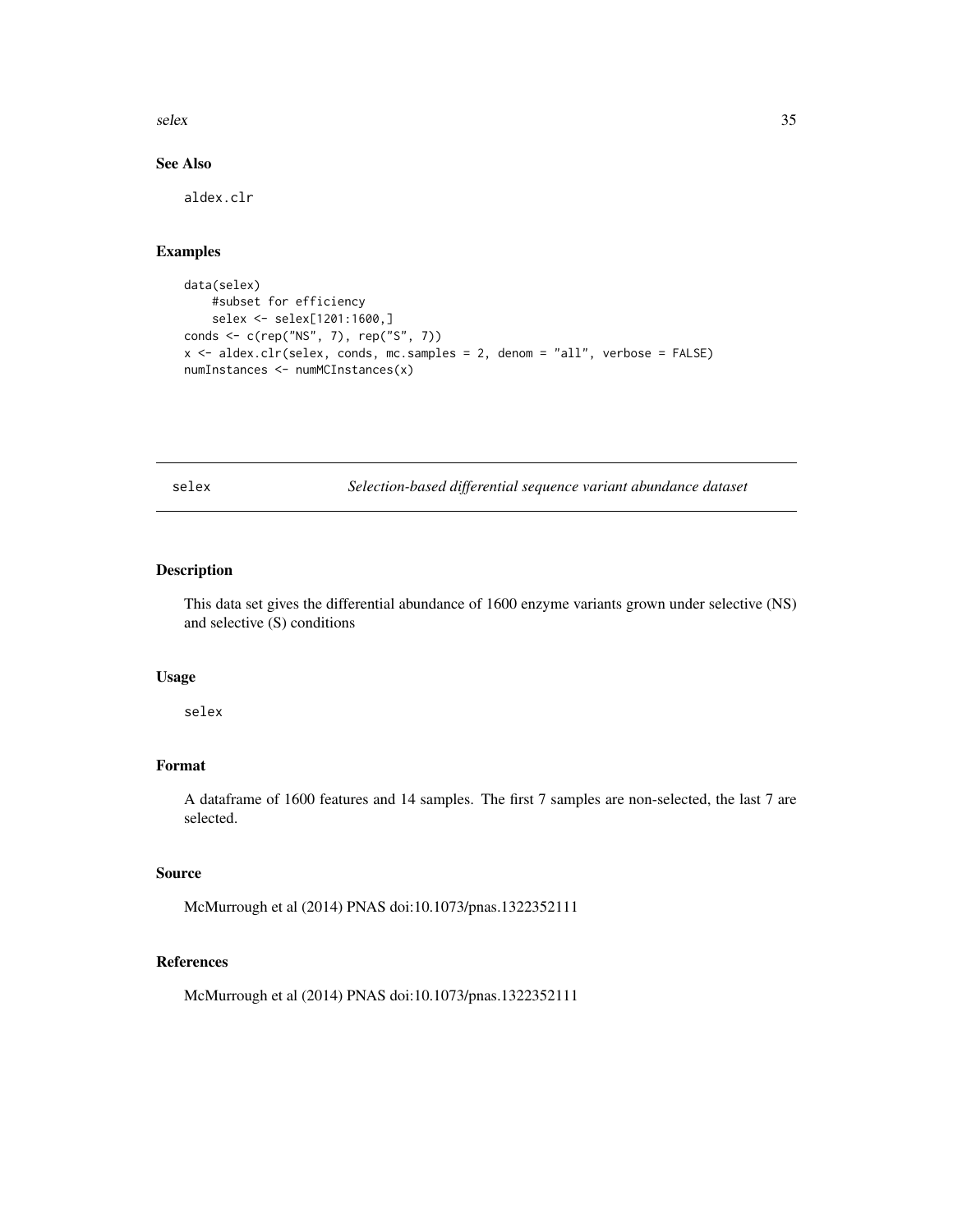<span id="page-34-0"></span>selex 35

## See Also

aldex.clr

## Examples

```
data(selex)
    #subset for efficiency
    selex <- selex[1201:1600,]
conds <- c(rep("NS", 7), rep("S", 7))
x <- aldex.clr(selex, conds, mc.samples = 2, denom = "all", verbose = FALSE)
numInstances <- numMCInstances(x)
```
<span id="page-34-1"></span>selex *Selection-based differential sequence variant abundance dataset*

## Description

This data set gives the differential abundance of 1600 enzyme variants grown under selective (NS) and selective (S) conditions

#### Usage

selex

## Format

A dataframe of 1600 features and 14 samples. The first 7 samples are non-selected, the last 7 are selected.

#### Source

McMurrough et al (2014) PNAS doi:10.1073/pnas.1322352111

## References

McMurrough et al (2014) PNAS doi:10.1073/pnas.1322352111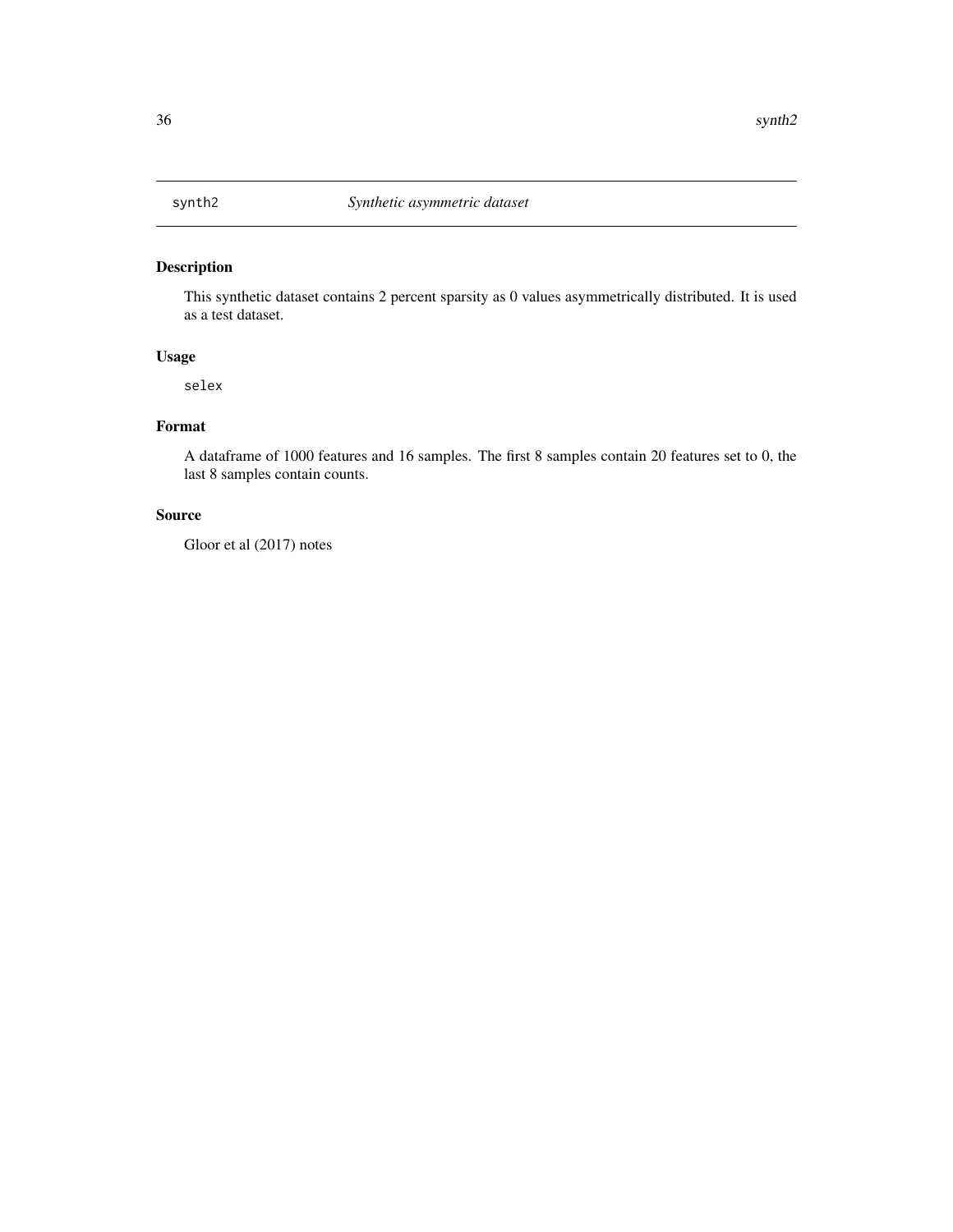<span id="page-35-0"></span>

## Description

This synthetic dataset contains 2 percent sparsity as 0 values asymmetrically distributed. It is used as a test dataset.

#### Usage

selex

## Format

A dataframe of 1000 features and 16 samples. The first 8 samples contain 20 features set to 0, the last 8 samples contain counts.

## Source

Gloor et al (2017) notes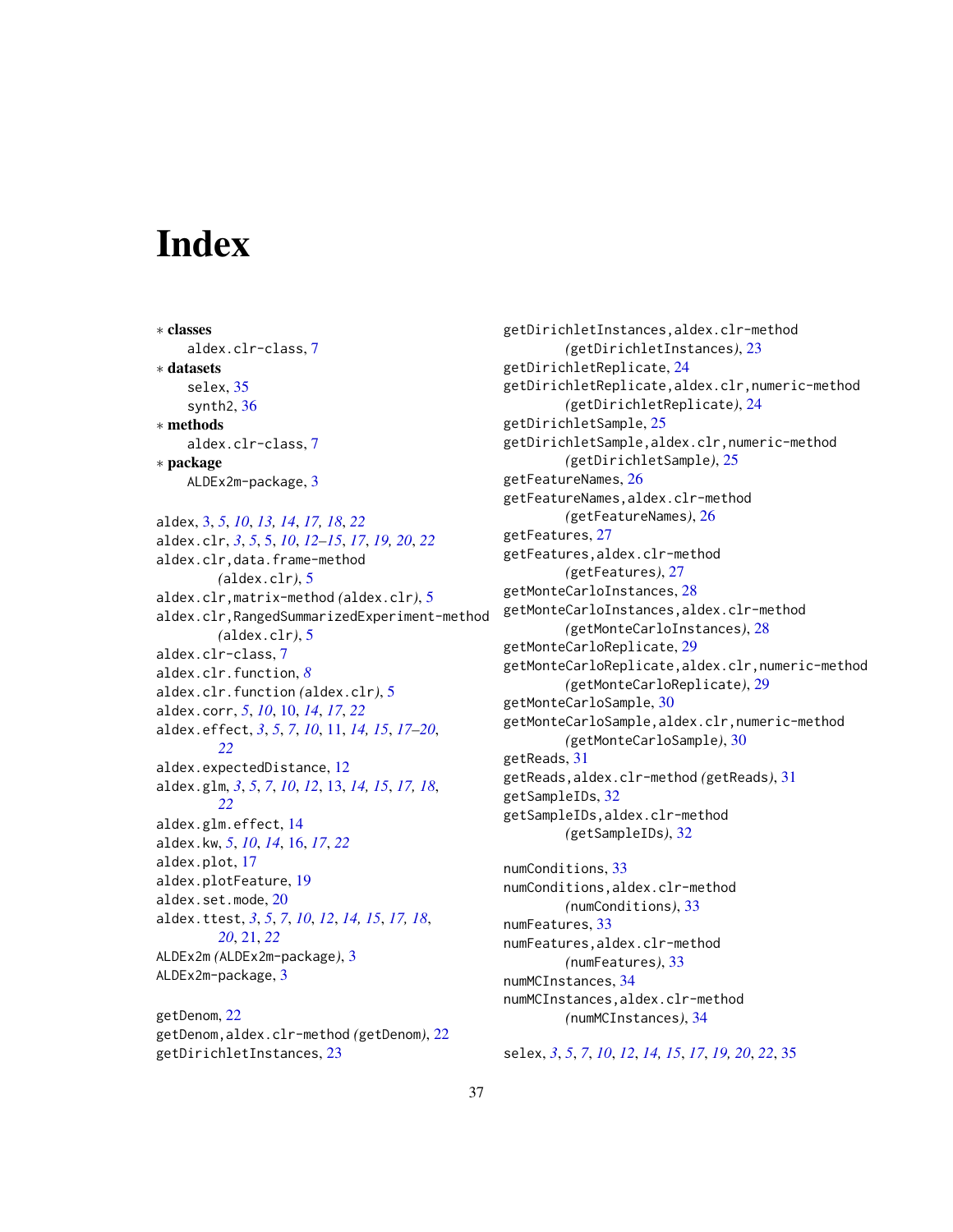# <span id="page-36-0"></span>**Index**

∗ classes aldex.clr-class, [7](#page-6-0) ∗ datasets selex, [35](#page-34-0) synth2, [36](#page-35-0) ∗ methods aldex.clr-class, [7](#page-6-0) ∗ package ALDEx2m-package, [3](#page-2-0)

aldex, [3,](#page-2-0) *[5](#page-4-0)*, *[10](#page-9-0)*, *[13,](#page-12-0) [14](#page-13-0)*, *[17,](#page-16-0) [18](#page-17-0)*, *[22](#page-21-0)* aldex.clr, *[3](#page-2-0)*, *[5](#page-4-0)*, [5,](#page-4-0) *[10](#page-9-0)*, *[12–](#page-11-0)[15](#page-14-0)*, *[17](#page-16-0)*, *[19,](#page-18-0) [20](#page-19-0)*, *[22](#page-21-0)* aldex.clr,data.frame-method *(*aldex.clr*)*, [5](#page-4-0) aldex.clr,matrix-method *(*aldex.clr*)*, [5](#page-4-0) aldex.clr,RangedSummarizedExperiment-method *(*aldex.clr*)*, [5](#page-4-0) aldex.clr-class, [7](#page-6-0) aldex.clr.function, *[8](#page-7-0)* aldex.clr.function *(*aldex.clr*)*, [5](#page-4-0) aldex.corr, *[5](#page-4-0)*, *[10](#page-9-0)*, [10,](#page-9-0) *[14](#page-13-0)*, *[17](#page-16-0)*, *[22](#page-21-0)* aldex.effect, *[3](#page-2-0)*, *[5](#page-4-0)*, *[7](#page-6-0)*, *[10](#page-9-0)*, [11,](#page-10-0) *[14,](#page-13-0) [15](#page-14-0)*, *[17–](#page-16-0)[20](#page-19-0)*, *[22](#page-21-0)* aldex.expectedDistance, [12](#page-11-0) aldex.glm, *[3](#page-2-0)*, *[5](#page-4-0)*, *[7](#page-6-0)*, *[10](#page-9-0)*, *[12](#page-11-0)*, [13,](#page-12-0) *[14,](#page-13-0) [15](#page-14-0)*, *[17,](#page-16-0) [18](#page-17-0)*, *[22](#page-21-0)* aldex.glm.effect, [14](#page-13-0) aldex.kw, *[5](#page-4-0)*, *[10](#page-9-0)*, *[14](#page-13-0)*, [16,](#page-15-0) *[17](#page-16-0)*, *[22](#page-21-0)* aldex.plot, [17](#page-16-0) aldex.plotFeature, [19](#page-18-0) aldex.set.mode, [20](#page-19-0) aldex.ttest, *[3](#page-2-0)*, *[5](#page-4-0)*, *[7](#page-6-0)*, *[10](#page-9-0)*, *[12](#page-11-0)*, *[14,](#page-13-0) [15](#page-14-0)*, *[17,](#page-16-0) [18](#page-17-0)*, *[20](#page-19-0)*, [21,](#page-20-0) *[22](#page-21-0)* ALDEx2m *(*ALDEx2m-package*)*, [3](#page-2-0) ALDEx2m-package, [3](#page-2-0)

getDenom, [22](#page-21-0) getDenom,aldex.clr-method *(*getDenom*)*, [22](#page-21-0) getDirichletInstances, [23](#page-22-0)

getDirichletInstances,aldex.clr-method *(*getDirichletInstances*)*, [23](#page-22-0) getDirichletReplicate, [24](#page-23-0) getDirichletReplicate,aldex.clr,numeric-method *(*getDirichletReplicate*)*, [24](#page-23-0) getDirichletSample, [25](#page-24-0) getDirichletSample,aldex.clr,numeric-method *(*getDirichletSample*)*, [25](#page-24-0) getFeatureNames, [26](#page-25-0) getFeatureNames,aldex.clr-method *(*getFeatureNames*)*, [26](#page-25-0) getFeatures, [27](#page-26-0) getFeatures,aldex.clr-method *(*getFeatures*)*, [27](#page-26-0) getMonteCarloInstances, [28](#page-27-0) getMonteCarloInstances,aldex.clr-method *(*getMonteCarloInstances*)*, [28](#page-27-0) getMonteCarloReplicate, [29](#page-28-0) getMonteCarloReplicate,aldex.clr,numeric-method *(*getMonteCarloReplicate*)*, [29](#page-28-0) getMonteCarloSample, [30](#page-29-0) getMonteCarloSample,aldex.clr,numeric-method *(*getMonteCarloSample*)*, [30](#page-29-0) getReads, [31](#page-30-0) getReads,aldex.clr-method *(*getReads*)*, [31](#page-30-0) getSampleIDs, [32](#page-31-0) getSampleIDs,aldex.clr-method *(*getSampleIDs*)*, [32](#page-31-0)

numConditions, [33](#page-32-0) numConditions,aldex.clr-method *(*numConditions*)*, [33](#page-32-0) numFeatures, [33](#page-32-0) numFeatures,aldex.clr-method *(*numFeatures*)*, [33](#page-32-0) numMCInstances, [34](#page-33-0) numMCInstances,aldex.clr-method *(*numMCInstances*)*, [34](#page-33-0)

selex, *[3](#page-2-0)*, *[5](#page-4-0)*, *[7](#page-6-0)*, *[10](#page-9-0)*, *[12](#page-11-0)*, *[14,](#page-13-0) [15](#page-14-0)*, *[17](#page-16-0)*, *[19,](#page-18-0) [20](#page-19-0)*, *[22](#page-21-0)*, [35](#page-34-0)